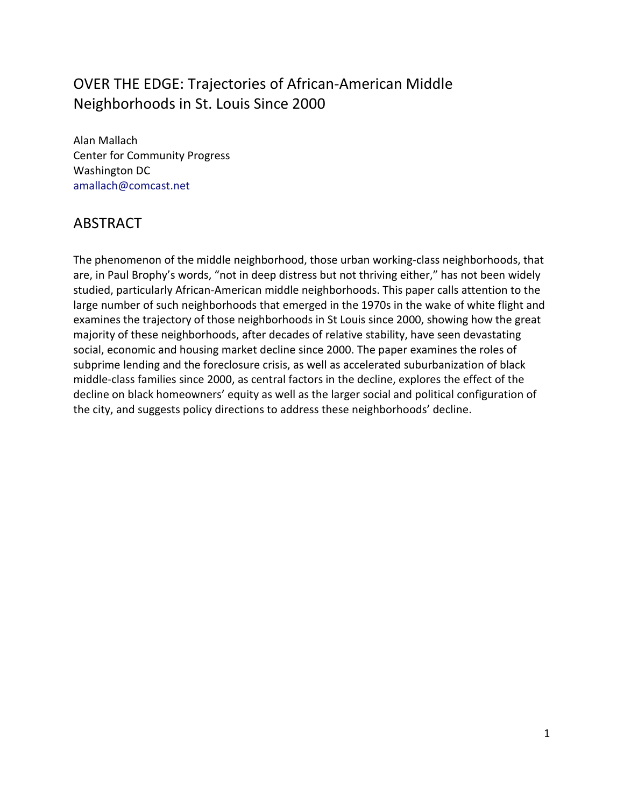## OVER THE EDGE: Trajectories of African-American Middle Neighborhoods in St. Louis Since 2000

Alan Mallach Center for Community Progress Washington DC [amallach@comcast.net](mailto:amallach@comcast.net)

### ABSTRACT

The phenomenon of the middle neighborhood, those urban working-class neighborhoods, that are, in Paul Brophy's words, "not in deep distress but not thriving either," has not been widely studied, particularly African-American middle neighborhoods. This paper calls attention to the large number of such neighborhoods that emerged in the 1970s in the wake of white flight and examines the trajectory of those neighborhoods in St Louis since 2000, showing how the great majority of these neighborhoods, after decades of relative stability, have seen devastating social, economic and housing market decline since 2000. The paper examines the roles of subprime lending and the foreclosure crisis, as well as accelerated suburbanization of black middle-class families since 2000, as central factors in the decline, explores the effect of the decline on black homeowners' equity as well as the larger social and political configuration of the city, and suggests policy directions to address these neighborhoods' decline.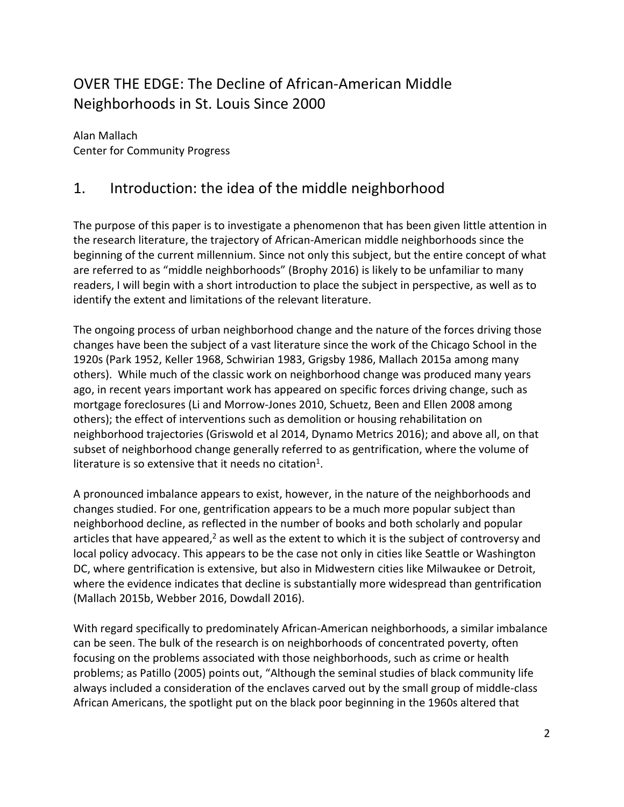## OVER THE EDGE: The Decline of African-American Middle Neighborhoods in St. Louis Since 2000

Alan Mallach Center for Community Progress

### 1. Introduction: the idea of the middle neighborhood

The purpose of this paper is to investigate a phenomenon that has been given little attention in the research literature, the trajectory of African-American middle neighborhoods since the beginning of the current millennium. Since not only this subject, but the entire concept of what are referred to as "middle neighborhoods" (Brophy 2016) is likely to be unfamiliar to many readers, I will begin with a short introduction to place the subject in perspective, as well as to identify the extent and limitations of the relevant literature.

The ongoing process of urban neighborhood change and the nature of the forces driving those changes have been the subject of a vast literature since the work of the Chicago School in the 1920s (Park 1952, Keller 1968, Schwirian 1983, Grigsby 1986, Mallach 2015a among many others). While much of the classic work on neighborhood change was produced many years ago, in recent years important work has appeared on specific forces driving change, such as mortgage foreclosures (Li and Morrow-Jones 2010, Schuetz, Been and Ellen 2008 among others); the effect of interventions such as demolition or housing rehabilitation on neighborhood trajectories (Griswold et al 2014, Dynamo Metrics 2016); and above all, on that subset of neighborhood change generally referred to as gentrification, where the volume of literature is so extensive that it needs no citation<sup>[1](#page-29-0)</sup>.

A pronounced imbalance appears to exist, however, in the nature of the neighborhoods and changes studied. For one, gentrification appears to be a much more popular subject than neighborhood decline, as reflected in the number of books and both scholarly and popular articles that have appeared, $2$  as well as the extent to which it is the subject of controversy and local policy advocacy. This appears to be the case not only in cities like Seattle or Washington DC, where gentrification is extensive, but also in Midwestern cities like Milwaukee or Detroit, where the evidence indicates that decline is substantially more widespread than gentrification (Mallach 2015b, Webber 2016, Dowdall 2016).

With regard specifically to predominately African-American neighborhoods, a similar imbalance can be seen. The bulk of the research is on neighborhoods of concentrated poverty, often focusing on the problems associated with those neighborhoods, such as crime or health problems; as Patillo (2005) points out, "Although the seminal studies of black community life always included a consideration of the enclaves carved out by the small group of middle-class African Americans, the spotlight put on the black poor beginning in the 1960s altered that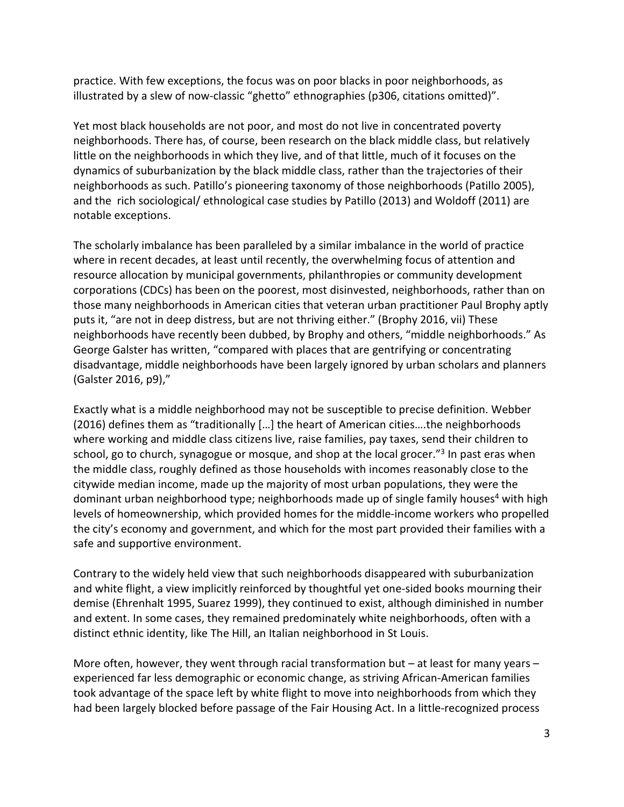practice. With few exceptions, the focus was on poor blacks in poor neighborhoods, as illustrated by a slew of now-classic "ghetto" ethnographies (p306, citations omitted)".

Yet most black households are not poor, and most do not live in concentrated poverty neighborhoods. There has, of course, been research on the black middle class, but relatively little on the neighborhoods in which they live, and of that little, much of it focuses on the dynamics of suburbanization by the black middle class, rather than the trajectories of their neighborhoods as such. Patillo's pioneering taxonomy of those neighborhoods (Patillo 2005), and the rich sociological/ ethnological case studies by Patillo (2013) and Woldoff (2011) are notable exceptions.

The scholarly imbalance has been paralleled by a similar imbalance in the world of practice where in recent decades, at least until recently, the overwhelming focus of attention and resource allocation by municipal governments, philanthropies or community development corporations (CDCs) has been on the poorest, most disinvested, neighborhoods, rather than on those many neighborhoods in American cities that veteran urban practitioner Paul Brophy aptly puts it, "are not in deep distress, but are not thriving either." (Brophy 2016, vii) These neighborhoods have recently been dubbed, by Brophy and others, "middle neighborhoods." As George Galster has written, "compared with places that are gentrifying or concentrating disadvantage, middle neighborhoods have been largely ignored by urban scholars and planners (Galster 2016, p9),"

Exactly what is a middle neighborhood may not be susceptible to precise definition. Webber (2016) defines them as "traditionally […] the heart of American cities….the neighborhoods where working and middle class citizens live, raise families, pay taxes, send their children to school, go to church, synagogue or mosque, and shop at the local grocer."<sup>[3](#page-29-2)</sup> In past eras when the middle class, roughly defined as those households with incomes reasonably close to the citywide median income, made up the majority of most urban populations, they were the dominant urban neighborhood type; neighborhoods made up of single family houses<sup>[4](#page-29-3)</sup> with high levels of homeownership, which provided homes for the middle-income workers who propelled the city's economy and government, and which for the most part provided their families with a safe and supportive environment.

Contrary to the widely held view that such neighborhoods disappeared with suburbanization and white flight, a view implicitly reinforced by thoughtful yet one-sided books mourning their demise (Ehrenhalt 1995, Suarez 1999), they continued to exist, although diminished in number and extent. In some cases, they remained predominately white neighborhoods, often with a distinct ethnic identity, like The Hill, an Italian neighborhood in St Louis.

More often, however, they went through racial transformation but – at least for many years – experienced far less demographic or economic change, as striving African-American families took advantage of the space left by white flight to move into neighborhoods from which they had been largely blocked before passage of the Fair Housing Act. In a little-recognized process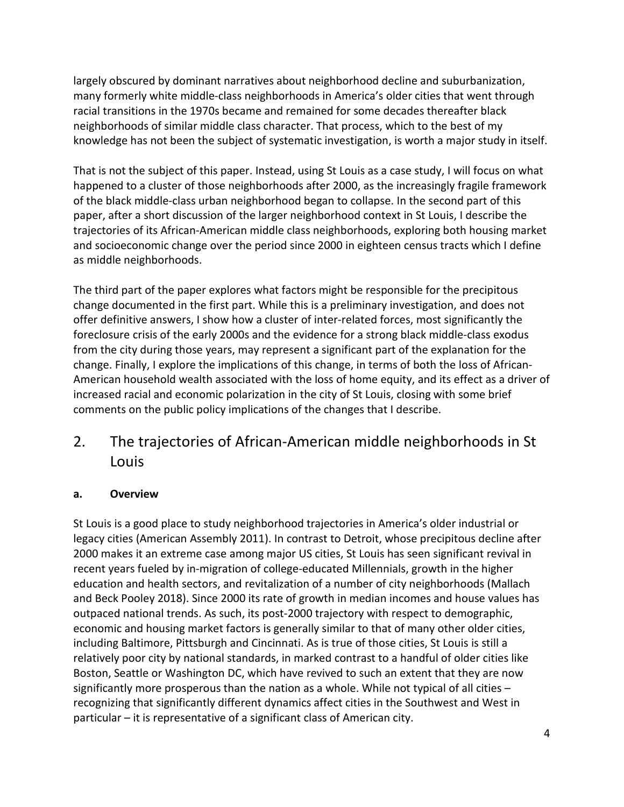largely obscured by dominant narratives about neighborhood decline and suburbanization, many formerly white middle-class neighborhoods in America's older cities that went through racial transitions in the 1970s became and remained for some decades thereafter black neighborhoods of similar middle class character. That process, which to the best of my knowledge has not been the subject of systematic investigation, is worth a major study in itself.

That is not the subject of this paper. Instead, using St Louis as a case study, I will focus on what happened to a cluster of those neighborhoods after 2000, as the increasingly fragile framework of the black middle-class urban neighborhood began to collapse. In the second part of this paper, after a short discussion of the larger neighborhood context in St Louis, I describe the trajectories of its African-American middle class neighborhoods, exploring both housing market and socioeconomic change over the period since 2000 in eighteen census tracts which I define as middle neighborhoods.

The third part of the paper explores what factors might be responsible for the precipitous change documented in the first part. While this is a preliminary investigation, and does not offer definitive answers, I show how a cluster of inter-related forces, most significantly the foreclosure crisis of the early 2000s and the evidence for a strong black middle-class exodus from the city during those years, may represent a significant part of the explanation for the change. Finally, I explore the implications of this change, in terms of both the loss of African-American household wealth associated with the loss of home equity, and its effect as a driver of increased racial and economic polarization in the city of St Louis, closing with some brief comments on the public policy implications of the changes that I describe.

2. The trajectories of African-American middle neighborhoods in St Louis

#### **a. Overview**

St Louis is a good place to study neighborhood trajectories in America's older industrial or legacy cities (American Assembly 2011). In contrast to Detroit, whose precipitous decline after 2000 makes it an extreme case among major US cities, St Louis has seen significant revival in recent years fueled by in-migration of college-educated Millennials, growth in the higher education and health sectors, and revitalization of a number of city neighborhoods (Mallach and Beck Pooley 2018). Since 2000 its rate of growth in median incomes and house values has outpaced national trends. As such, its post-2000 trajectory with respect to demographic, economic and housing market factors is generally similar to that of many other older cities, including Baltimore, Pittsburgh and Cincinnati. As is true of those cities, St Louis is still a relatively poor city by national standards, in marked contrast to a handful of older cities like Boston, Seattle or Washington DC, which have revived to such an extent that they are now significantly more prosperous than the nation as a whole. While not typical of all cities – recognizing that significantly different dynamics affect cities in the Southwest and West in particular – it is representative of a significant class of American city.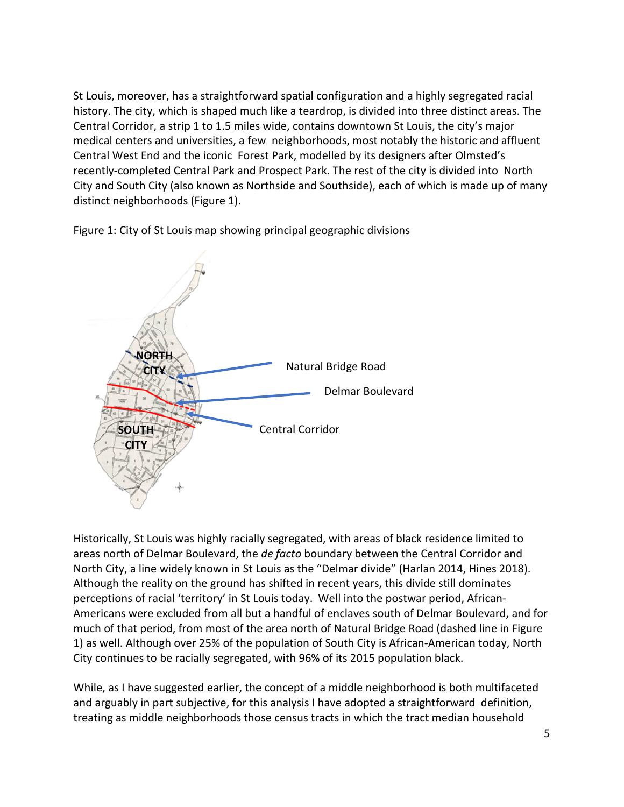St Louis, moreover, has a straightforward spatial configuration and a highly segregated racial history. The city, which is shaped much like a teardrop, is divided into three distinct areas. The Central Corridor, a strip 1 to 1.5 miles wide, contains downtown St Louis, the city's major medical centers and universities, a few neighborhoods, most notably the historic and affluent Central West End and the iconic Forest Park, modelled by its designers after Olmsted's recently-completed Central Park and Prospect Park. The rest of the city is divided into North City and South City (also known as Northside and Southside), each of which is made up of many distinct neighborhoods (Figure 1).

Figure 1: City of St Louis map showing principal geographic divisions



Historically, St Louis was highly racially segregated, with areas of black residence limited to areas north of Delmar Boulevard, the *de facto* boundary between the Central Corridor and North City, a line widely known in St Louis as the "Delmar divide" (Harlan 2014, Hines 2018). Although the reality on the ground has shifted in recent years, this divide still dominates perceptions of racial 'territory' in St Louis today. Well into the postwar period, African-Americans were excluded from all but a handful of enclaves south of Delmar Boulevard, and for much of that period, from most of the area north of Natural Bridge Road (dashed line in Figure 1) as well. Although over 25% of the population of South City is African-American today, North City continues to be racially segregated, with 96% of its 2015 population black.

While, as I have suggested earlier, the concept of a middle neighborhood is both multifaceted and arguably in part subjective, for this analysis I have adopted a straightforward definition, treating as middle neighborhoods those census tracts in which the tract median household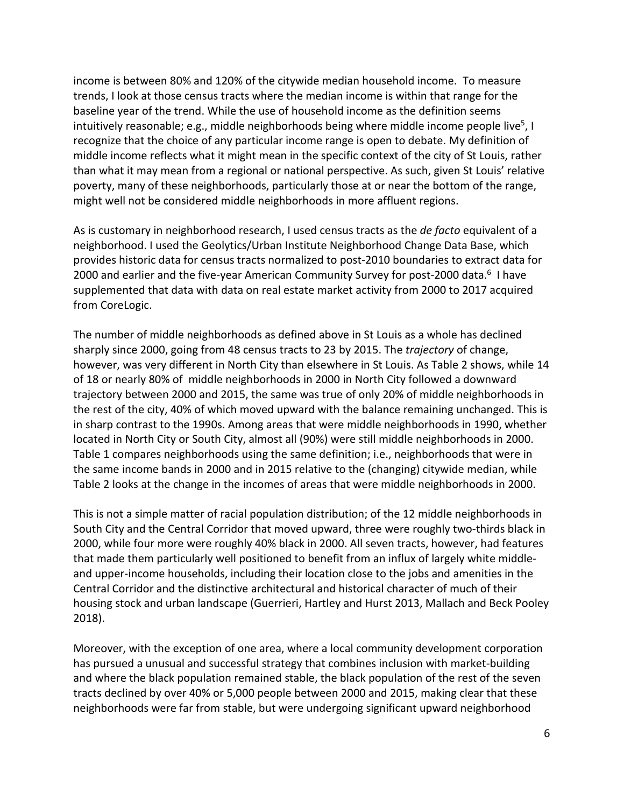income is between 80% and 120% of the citywide median household income. To measure trends, I look at those census tracts where the median income is within that range for the baseline year of the trend. While the use of household income as the definition seems intuitivelyreasonable; e.g., middle neighborhoods being where middle income people live<sup>5</sup>, I recognize that the choice of any particular income range is open to debate. My definition of middle income reflects what it might mean in the specific context of the city of St Louis, rather than what it may mean from a regional or national perspective. As such, given St Louis' relative poverty, many of these neighborhoods, particularly those at or near the bottom of the range, might well not be considered middle neighborhoods in more affluent regions.

As is customary in neighborhood research, I used census tracts as the *de facto* equivalent of a neighborhood. I used the Geolytics/Urban Institute Neighborhood Change Data Base, which provides historic data for census tracts normalized to post-2010 boundaries to extract data for 2000 and earlier and the five-year American Community Survey for post-2000 data.<sup>[6](#page-29-5)</sup> I have supplemented that data with data on real estate market activity from 2000 to 2017 acquired from CoreLogic.

The number of middle neighborhoods as defined above in St Louis as a whole has declined sharply since 2000, going from 48 census tracts to 23 by 2015. The *trajectory* of change, however, was very different in North City than elsewhere in St Louis. As Table 2 shows, while 14 of 18 or nearly 80% of middle neighborhoods in 2000 in North City followed a downward trajectory between 2000 and 2015, the same was true of only 20% of middle neighborhoods in the rest of the city, 40% of which moved upward with the balance remaining unchanged. This is in sharp contrast to the 1990s. Among areas that were middle neighborhoods in 1990, whether located in North City or South City, almost all (90%) were still middle neighborhoods in 2000. Table 1 compares neighborhoods using the same definition; i.e., neighborhoods that were in the same income bands in 2000 and in 2015 relative to the (changing) citywide median, while Table 2 looks at the change in the incomes of areas that were middle neighborhoods in 2000.

This is not a simple matter of racial population distribution; of the 12 middle neighborhoods in South City and the Central Corridor that moved upward, three were roughly two-thirds black in 2000, while four more were roughly 40% black in 2000. All seven tracts, however, had features that made them particularly well positioned to benefit from an influx of largely white middleand upper-income households, including their location close to the jobs and amenities in the Central Corridor and the distinctive architectural and historical character of much of their housing stock and urban landscape (Guerrieri, Hartley and Hurst 2013, Mallach and Beck Pooley 2018).

Moreover, with the exception of one area, where a local community development corporation has pursued a unusual and successful strategy that combines inclusion with market-building and where the black population remained stable, the black population of the rest of the seven tracts declined by over 40% or 5,000 people between 2000 and 2015, making clear that these neighborhoods were far from stable, but were undergoing significant upward neighborhood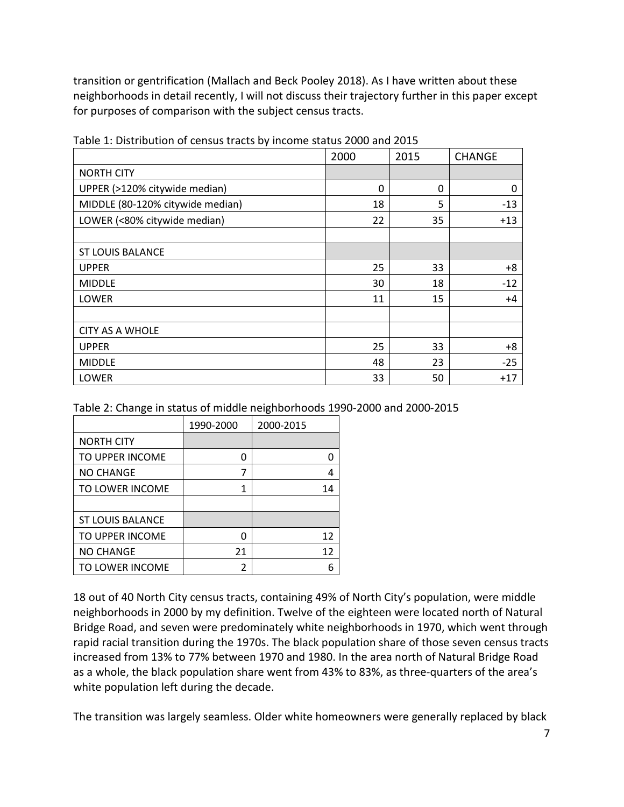transition or gentrification (Mallach and Beck Pooley 2018). As I have written about these neighborhoods in detail recently, I will not discuss their trajectory further in this paper except for purposes of comparison with the subject census tracts.

|                                  | 2000 | 2015 | <b>CHANGE</b> |
|----------------------------------|------|------|---------------|
| <b>NORTH CITY</b>                |      |      |               |
| UPPER (>120% citywide median)    | 0    | 0    | 0             |
| MIDDLE (80-120% citywide median) | 18   | 5    | $-13$         |
| LOWER (<80% citywide median)     | 22   | 35   | $+13$         |
|                                  |      |      |               |
| <b>ST LOUIS BALANCE</b>          |      |      |               |
| <b>UPPER</b>                     | 25   | 33   | +8            |
| <b>MIDDLE</b>                    | 30   | 18   | $-12$         |
| LOWER                            | 11   | 15   | +4            |
|                                  |      |      |               |
| <b>CITY AS A WHOLE</b>           |      |      |               |
| <b>UPPER</b>                     | 25   | 33   | +8            |
| <b>MIDDLE</b>                    | 48   | 23   | $-25$         |
| LOWER                            | 33   | 50   | $+17$         |

Table 1: Distribution of census tracts by income status 2000 and 2015

Table 2: Change in status of middle neighborhoods 1990-2000 and 2000-2015

|                         | 1990-2000 | 2000-2015 |
|-------------------------|-----------|-----------|
| <b>NORTH CITY</b>       |           |           |
| TO UPPER INCOME         | ი         |           |
| <b>NO CHANGE</b>        | 7         | 4         |
| TO LOWER INCOME         | 1         | 14        |
|                         |           |           |
| <b>ST LOUIS BALANCE</b> |           |           |
| TO UPPER INCOME         | ი         | 12        |
| <b>NO CHANGE</b>        | 21        | 12        |
| TO LOWER INCOME         | 2         | հ         |

18 out of 40 North City census tracts, containing 49% of North City's population, were middle neighborhoods in 2000 by my definition. Twelve of the eighteen were located north of Natural Bridge Road, and seven were predominately white neighborhoods in 1970, which went through rapid racial transition during the 1970s. The black population share of those seven census tracts increased from 13% to 77% between 1970 and 1980. In the area north of Natural Bridge Road as a whole, the black population share went from 43% to 83%, as three-quarters of the area's white population left during the decade.

The transition was largely seamless. Older white homeowners were generally replaced by black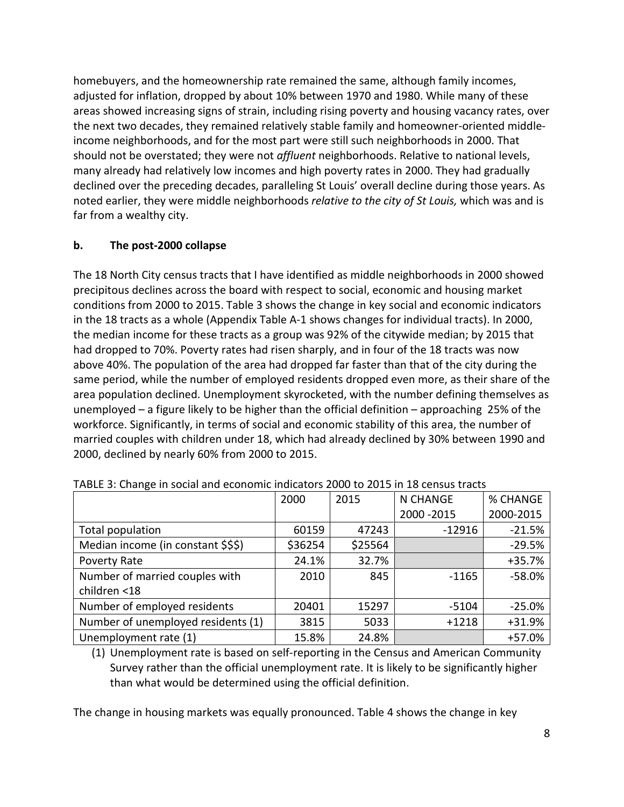homebuyers, and the homeownership rate remained the same, although family incomes, adjusted for inflation, dropped by about 10% between 1970 and 1980. While many of these areas showed increasing signs of strain, including rising poverty and housing vacancy rates, over the next two decades, they remained relatively stable family and homeowner-oriented middleincome neighborhoods, and for the most part were still such neighborhoods in 2000. That should not be overstated; they were not *affluent* neighborhoods. Relative to national levels, many already had relatively low incomes and high poverty rates in 2000. They had gradually declined over the preceding decades, paralleling St Louis' overall decline during those years. As noted earlier, they were middle neighborhoods *relative to the city of St Louis,* which was and is far from a wealthy city.

#### **b. The post-2000 collapse**

The 18 North City census tracts that I have identified as middle neighborhoods in 2000 showed precipitous declines across the board with respect to social, economic and housing market conditions from 2000 to 2015. Table 3 shows the change in key social and economic indicators in the 18 tracts as a whole (Appendix Table A-1 shows changes for individual tracts). In 2000, the median income for these tracts as a group was 92% of the citywide median; by 2015 that had dropped to 70%. Poverty rates had risen sharply, and in four of the 18 tracts was now above 40%. The population of the area had dropped far faster than that of the city during the same period, while the number of employed residents dropped even more, as their share of the area population declined. Unemployment skyrocketed, with the number defining themselves as unemployed – a figure likely to be higher than the official definition – approaching 25% of the workforce. Significantly, in terms of social and economic stability of this area, the number of married couples with children under 18, which had already declined by 30% between 1990 and 2000, declined by nearly 60% from 2000 to 2015.

| $17.0222$ of criterials in oderariants coortioning interestence 2000 to 2020 in 20 concer |         |         |             |           |  |  |  |  |
|-------------------------------------------------------------------------------------------|---------|---------|-------------|-----------|--|--|--|--|
|                                                                                           | 2000    | 2015    | N CHANGE    | % CHANGE  |  |  |  |  |
|                                                                                           |         |         | 2000 - 2015 | 2000-2015 |  |  |  |  |
| Total population                                                                          | 60159   | 47243   | $-12916$    | $-21.5%$  |  |  |  |  |
| Median income (in constant \$\$\$)                                                        | \$36254 | \$25564 |             | $-29.5%$  |  |  |  |  |
| Poverty Rate                                                                              | 24.1%   | 32.7%   |             | $+35.7%$  |  |  |  |  |
| Number of married couples with                                                            | 2010    | 845     | $-1165$     | $-58.0%$  |  |  |  |  |
| children <18                                                                              |         |         |             |           |  |  |  |  |
| Number of employed residents                                                              | 20401   | 15297   | $-5104$     | $-25.0%$  |  |  |  |  |
| Number of unemployed residents (1)                                                        | 3815    | 5033    | $+1218$     | +31.9%    |  |  |  |  |
| Unemployment rate (1)                                                                     | 15.8%   | 24.8%   |             | $+57.0%$  |  |  |  |  |

TABLE 3: Change in social and economic indicators 2000 to 2015 in 18 census tracts

(1) Unemployment rate is based on self-reporting in the Census and American Community Survey rather than the official unemployment rate. It is likely to be significantly higher than what would be determined using the official definition.

The change in housing markets was equally pronounced. Table 4 shows the change in key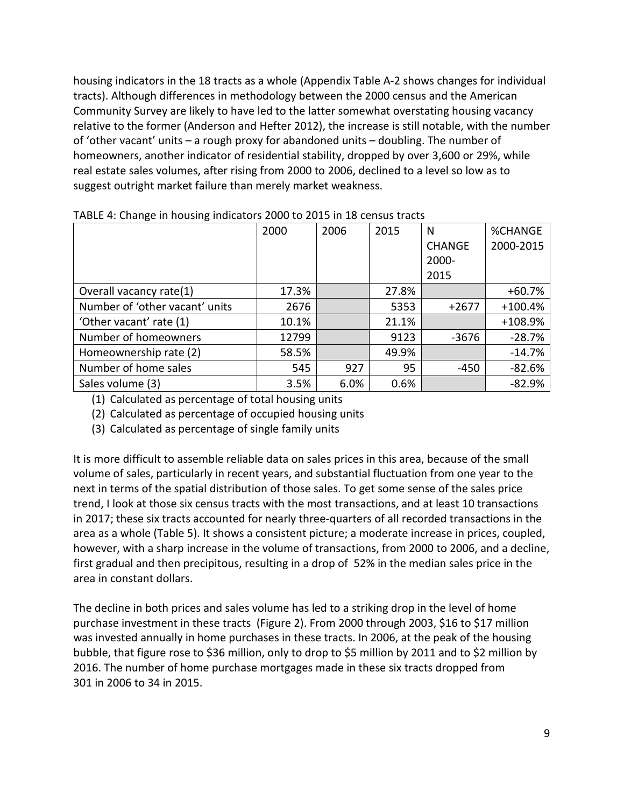housing indicators in the 18 tracts as a whole (Appendix Table A-2 shows changes for individual tracts). Although differences in methodology between the 2000 census and the American Community Survey are likely to have led to the latter somewhat overstating housing vacancy relative to the former (Anderson and Hefter 2012), the increase is still notable, with the number of 'other vacant' units – a rough proxy for abandoned units – doubling. The number of homeowners, another indicator of residential stability, dropped by over 3,600 or 29%, while real estate sales volumes, after rising from 2000 to 2006, declined to a level so low as to suggest outright market failure than merely market weakness.

|                                | 2000  | 2006 | 2015  | N.            | <b>%CHANGE</b> |
|--------------------------------|-------|------|-------|---------------|----------------|
|                                |       |      |       | <b>CHANGE</b> | 2000-2015      |
|                                |       |      |       | 2000-         |                |
|                                |       |      |       | 2015          |                |
| Overall vacancy rate(1)        | 17.3% |      | 27.8% |               | $+60.7%$       |
| Number of 'other vacant' units | 2676  |      | 5353  | $+2677$       | $+100.4%$      |
| 'Other vacant' rate (1)        | 10.1% |      | 21.1% |               | +108.9%        |
| Number of homeowners           | 12799 |      | 9123  | $-3676$       | $-28.7%$       |
| Homeownership rate (2)         | 58.5% |      | 49.9% |               | $-14.7%$       |
| Number of home sales           | 545   | 927  | 95    | $-450$        | $-82.6%$       |
| Sales volume (3)               | 3.5%  | 6.0% | 0.6%  |               | $-82.9%$       |

(1) Calculated as percentage of total housing units

(2) Calculated as percentage of occupied housing units

(3) Calculated as percentage of single family units

It is more difficult to assemble reliable data on sales prices in this area, because of the small volume of sales, particularly in recent years, and substantial fluctuation from one year to the next in terms of the spatial distribution of those sales. To get some sense of the sales price trend, I look at those six census tracts with the most transactions, and at least 10 transactions in 2017; these six tracts accounted for nearly three-quarters of all recorded transactions in the area as a whole (Table 5). It shows a consistent picture; a moderate increase in prices, coupled, however, with a sharp increase in the volume of transactions, from 2000 to 2006, and a decline, first gradual and then precipitous, resulting in a drop of 52% in the median sales price in the area in constant dollars.

The decline in both prices and sales volume has led to a striking drop in the level of home purchase investment in these tracts (Figure 2). From 2000 through 2003, \$16 to \$17 million was invested annually in home purchases in these tracts. In 2006, at the peak of the housing bubble, that figure rose to \$36 million, only to drop to \$5 million by 2011 and to \$2 million by 2016. The number of home purchase mortgages made in these six tracts dropped from 301 in 2006 to 34 in 2015.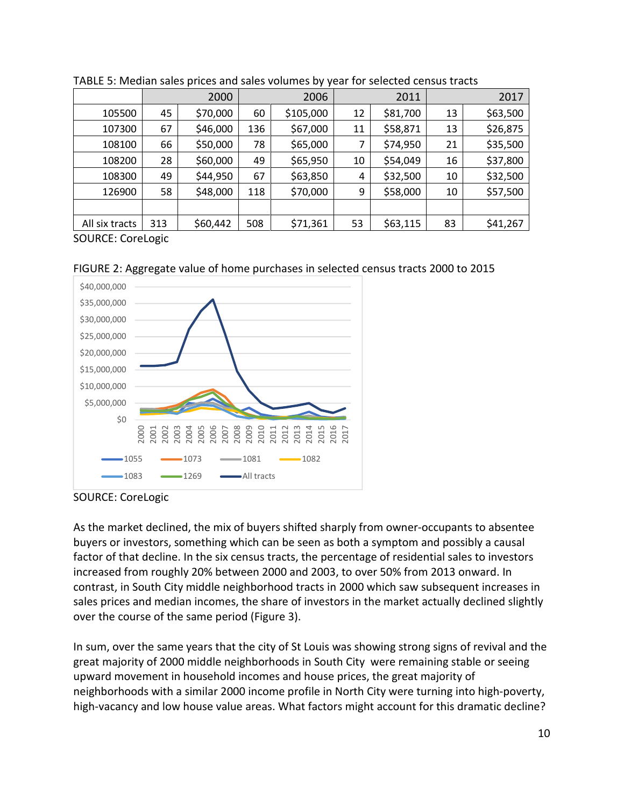|                |     | 2000     |     | 2006      |    | 2011     |    | 2017     |  |
|----------------|-----|----------|-----|-----------|----|----------|----|----------|--|
| 105500         | 45  | \$70,000 | 60  | \$105,000 | 12 | \$81,700 | 13 | \$63,500 |  |
| 107300         | 67  | \$46,000 | 136 | \$67,000  | 11 | \$58,871 | 13 | \$26,875 |  |
| 108100         | 66  | \$50,000 | 78  | \$65,000  | 7  | \$74,950 | 21 | \$35,500 |  |
| 108200         | 28  | \$60,000 | 49  | \$65,950  | 10 | \$54,049 | 16 | \$37,800 |  |
| 108300         | 49  | \$44,950 | 67  | \$63,850  | 4  | \$32,500 | 10 | \$32,500 |  |
| 126900         | 58  | \$48,000 | 118 | \$70,000  | 9  | \$58,000 | 10 | \$57,500 |  |
|                |     |          |     |           |    |          |    |          |  |
| All six tracts | 313 | \$60,442 | 508 | \$71,361  | 53 | \$63,115 | 83 | \$41,267 |  |
|                |     |          |     |           |    |          |    |          |  |



SOURCE: CoreLogic





SOURCE: CoreLogic

As the market declined, the mix of buyers shifted sharply from owner-occupants to absentee buyers or investors, something which can be seen as both a symptom and possibly a causal factor of that decline. In the six census tracts, the percentage of residential sales to investors increased from roughly 20% between 2000 and 2003, to over 50% from 2013 onward. In contrast, in South City middle neighborhood tracts in 2000 which saw subsequent increases in sales prices and median incomes, the share of investors in the market actually declined slightly over the course of the same period (Figure 3).

In sum, over the same years that the city of St Louis was showing strong signs of revival and the great majority of 2000 middle neighborhoods in South City were remaining stable or seeing upward movement in household incomes and house prices, the great majority of neighborhoods with a similar 2000 income profile in North City were turning into high-poverty, high-vacancy and low house value areas. What factors might account for this dramatic decline?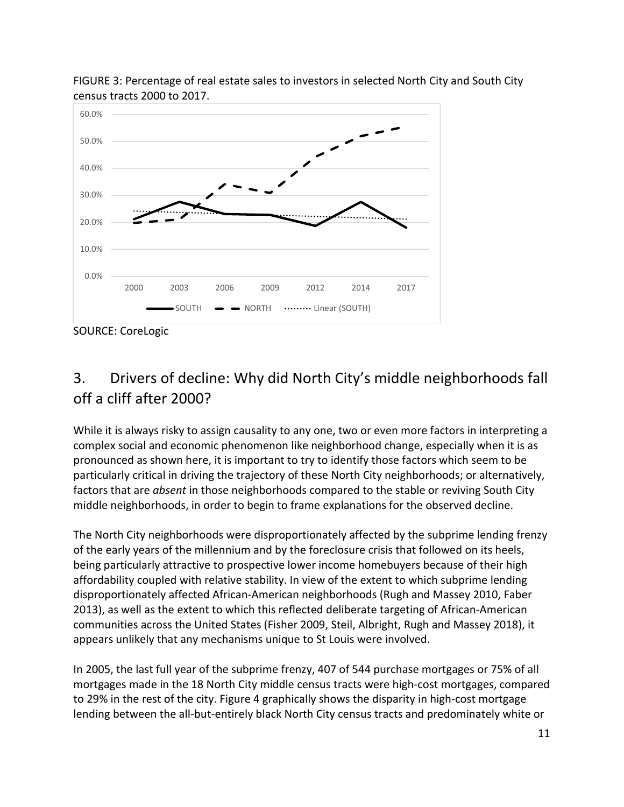

FIGURE 3: Percentage of real estate sales to investors in selected North City and South City census tracts 2000 to 2017.

## 3. Drivers of decline: Why did North City's middle neighborhoods fall off a cliff after 2000?

While it is always risky to assign causality to any one, two or even more factors in interpreting a complex social and economic phenomenon like neighborhood change, especially when it is as pronounced as shown here, it is important to try to identify those factors which seem to be particularly critical in driving the trajectory of these North City neighborhoods; or alternatively, factors that are *absent* in those neighborhoods compared to the stable or reviving South City middle neighborhoods, in order to begin to frame explanations for the observed decline.

The North City neighborhoods were disproportionately affected by the subprime lending frenzy of the early years of the millennium and by the foreclosure crisis that followed on its heels, being particularly attractive to prospective lower income homebuyers because of their high affordability coupled with relative stability. In view of the extent to which subprime lending disproportionately affected African-American neighborhoods (Rugh and Massey 2010, Faber 2013), as well as the extent to which this reflected deliberate targeting of African-American communities across the United States (Fisher 2009, Steil, Albright, Rugh and Massey 2018), it appears unlikely that any mechanisms unique to St Louis were involved.

In 2005, the last full year of the subprime frenzy, 407 of 544 purchase mortgages or 75% of all mortgages made in the 18 North City middle census tracts were high-cost mortgages, compared to 29% in the rest of the city. Figure 4 graphically shows the disparity in high-cost mortgage lending between the all-but-entirely black North City census tracts and predominately white or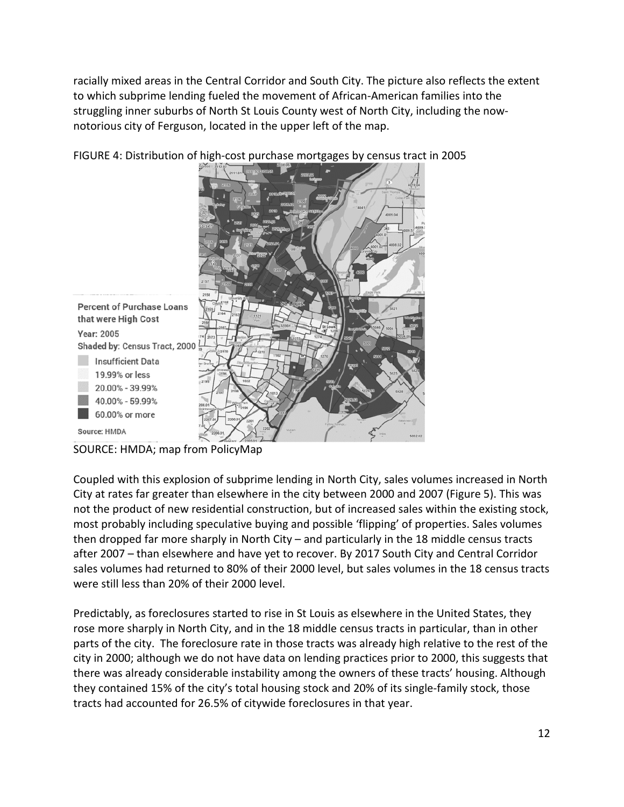racially mixed areas in the Central Corridor and South City. The picture also reflects the extent to which subprime lending fueled the movement of African-American families into the struggling inner suburbs of North St Louis County west of North City, including the nownotorious city of Ferguson, located in the upper left of the map.



FIGURE 4: Distribution of high-cost purchase mortgages by census tract in 2005

SOURCE: HMDA; map from PolicyMap

Coupled with this explosion of subprime lending in North City, sales volumes increased in North City at rates far greater than elsewhere in the city between 2000 and 2007 (Figure 5). This was not the product of new residential construction, but of increased sales within the existing stock, most probably including speculative buying and possible 'flipping' of properties. Sales volumes then dropped far more sharply in North City – and particularly in the 18 middle census tracts after 2007 – than elsewhere and have yet to recover. By 2017 South City and Central Corridor sales volumes had returned to 80% of their 2000 level, but sales volumes in the 18 census tracts were still less than 20% of their 2000 level.

Predictably, as foreclosures started to rise in St Louis as elsewhere in the United States, they rose more sharply in North City, and in the 18 middle census tracts in particular, than in other parts of the city. The foreclosure rate in those tracts was already high relative to the rest of the city in 2000; although we do not have data on lending practices prior to 2000, this suggests that there was already considerable instability among the owners of these tracts' housing. Although they contained 15% of the city's total housing stock and 20% of its single-family stock, those tracts had accounted for 26.5% of citywide foreclosures in that year.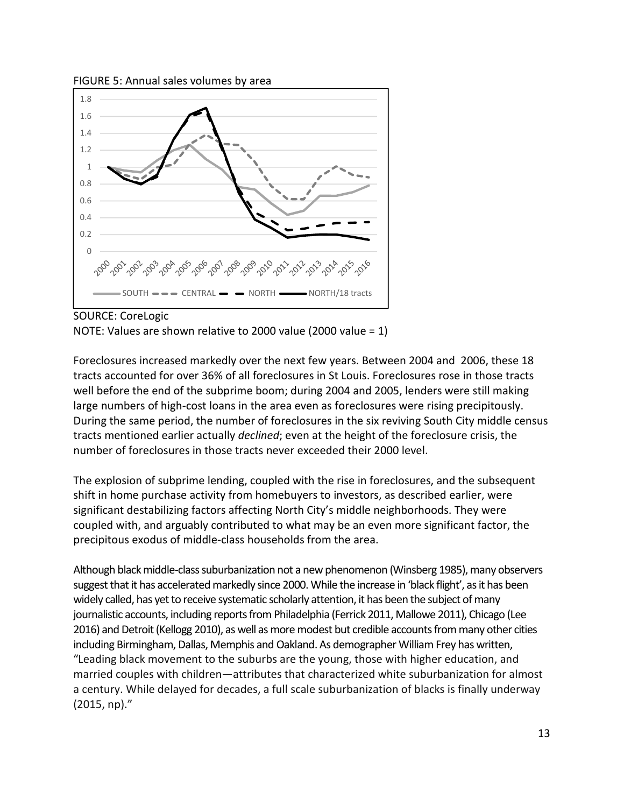



#### SOURCE: CoreLogic

NOTE: Values are shown relative to 2000 value (2000 value = 1)

Foreclosures increased markedly over the next few years. Between 2004 and 2006, these 18 tracts accounted for over 36% of all foreclosures in St Louis. Foreclosures rose in those tracts well before the end of the subprime boom; during 2004 and 2005, lenders were still making large numbers of high-cost loans in the area even as foreclosures were rising precipitously. During the same period, the number of foreclosures in the six reviving South City middle census tracts mentioned earlier actually *declined*; even at the height of the foreclosure crisis, the number of foreclosures in those tracts never exceeded their 2000 level.

The explosion of subprime lending, coupled with the rise in foreclosures, and the subsequent shift in home purchase activity from homebuyers to investors, as described earlier, were significant destabilizing factors affecting North City's middle neighborhoods. They were coupled with, and arguably contributed to what may be an even more significant factor, the precipitous exodus of middle-class households from the area.

Although black middle-class suburbanization not a new phenomenon (Winsberg 1985), many observers suggest that it has accelerated markedly since 2000. While the increase in 'black flight', as it has been widely called, has yet to receive systematic scholarly attention, it has been the subject of many journalistic accounts, including reports from Philadelphia (Ferrick 2011, Mallowe 2011), Chicago (Lee 2016) and Detroit (Kellogg 2010), as well as more modest but credible accounts from many other cities including Birmingham, Dallas, Memphis and Oakland. As demographer William Frey has written, "Leading black movement to the suburbs are the young, those with higher education, and married couples with children—attributes that characterized white suburbanization for almost a century. While delayed for decades, a full scale suburbanization of blacks is finally underway (2015, np)."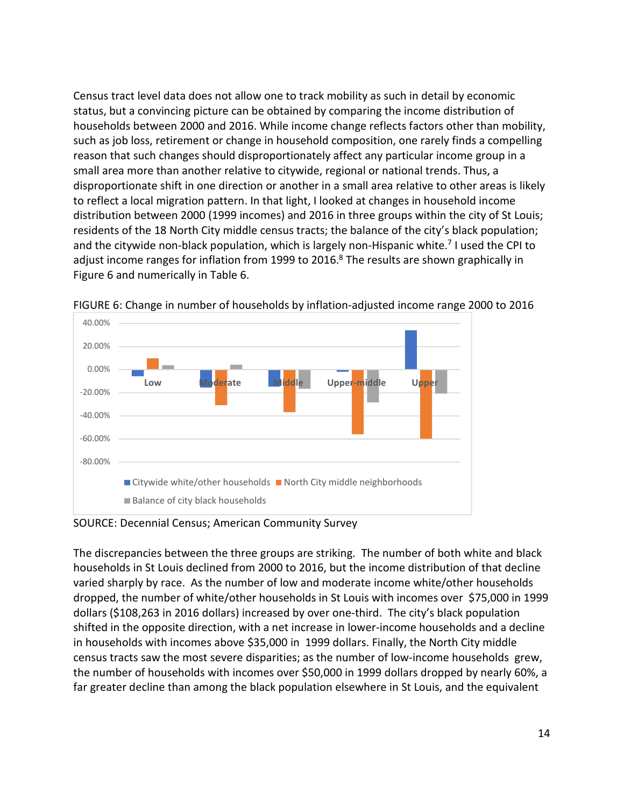Census tract level data does not allow one to track mobility as such in detail by economic status, but a convincing picture can be obtained by comparing the income distribution of households between 2000 and 2016. While income change reflects factors other than mobility, such as job loss, retirement or change in household composition, one rarely finds a compelling reason that such changes should disproportionately affect any particular income group in a small area more than another relative to citywide, regional or national trends. Thus, a disproportionate shift in one direction or another in a small area relative to other areas is likely to reflect a local migration pattern. In that light, I looked at changes in household income distribution between 2000 (1999 incomes) and 2016 in three groups within the city of St Louis; residents of the 18 North City middle census tracts; the balance of the city's black population; and the citywide non-black population, which is largely non-Hispanic white.<sup>[7](#page-29-6)</sup> I used the CPI to adjust income ranges for inflation from 1999 to 2016. $8$  The results are shown graphically in Figure 6 and numerically in Table 6.



FIGURE 6: Change in number of households by inflation-adjusted income range 2000 to 2016

SOURCE: Decennial Census; American Community Survey

The discrepancies between the three groups are striking. The number of both white and black households in St Louis declined from 2000 to 2016, but the income distribution of that decline varied sharply by race. As the number of low and moderate income white/other households dropped, the number of white/other households in St Louis with incomes over \$75,000 in 1999 dollars (\$108,263 in 2016 dollars) increased by over one-third. The city's black population shifted in the opposite direction, with a net increase in lower-income households and a decline in households with incomes above \$35,000 in 1999 dollars. Finally, the North City middle census tracts saw the most severe disparities; as the number of low-income households grew, the number of households with incomes over \$50,000 in 1999 dollars dropped by nearly 60%, a far greater decline than among the black population elsewhere in St Louis, and the equivalent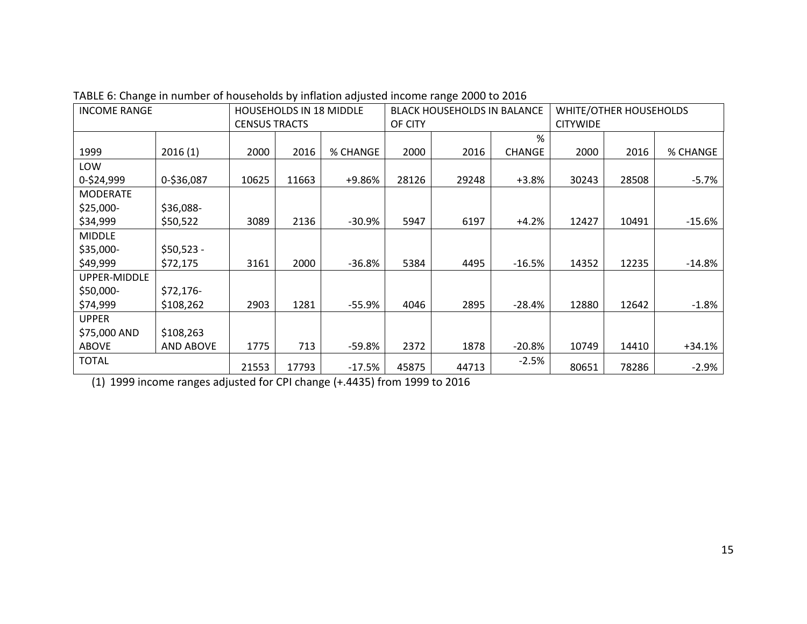| <b>INCOME RANGE</b> |                  | <b>HOUSEHOLDS IN 18 MIDDLE</b> |       | <b>BLACK HOUSEHOLDS IN BALANCE</b> |         |       | WHITE/OTHER HOUSEHOLDS |                 |       |          |
|---------------------|------------------|--------------------------------|-------|------------------------------------|---------|-------|------------------------|-----------------|-------|----------|
|                     |                  | <b>CENSUS TRACTS</b>           |       |                                    | OF CITY |       |                        | <b>CITYWIDE</b> |       |          |
|                     |                  |                                |       |                                    |         |       | %                      |                 |       |          |
| 1999                | 2016(1)          | 2000                           | 2016  | % CHANGE                           | 2000    | 2016  | <b>CHANGE</b>          | 2000            | 2016  | % CHANGE |
| LOW                 |                  |                                |       |                                    |         |       |                        |                 |       |          |
| 0-\$24,999          | 0-\$36,087       | 10625                          | 11663 | +9.86%                             | 28126   | 29248 | $+3.8%$                | 30243           | 28508 | $-5.7%$  |
| <b>MODERATE</b>     |                  |                                |       |                                    |         |       |                        |                 |       |          |
| $$25,000-$          | \$36,088-        |                                |       |                                    |         |       |                        |                 |       |          |
| \$34,999            | \$50,522         | 3089                           | 2136  | $-30.9%$                           | 5947    | 6197  | $+4.2%$                | 12427           | 10491 | $-15.6%$ |
| <b>MIDDLE</b>       |                  |                                |       |                                    |         |       |                        |                 |       |          |
| \$35,000-           | $$50,523 -$      |                                |       |                                    |         |       |                        |                 |       |          |
| \$49,999            | \$72,175         | 3161                           | 2000  | $-36.8\%$                          | 5384    | 4495  | $-16.5%$               | 14352           | 12235 | $-14.8%$ |
| UPPER-MIDDLE        |                  |                                |       |                                    |         |       |                        |                 |       |          |
| \$50,000-           | $$72,176-$       |                                |       |                                    |         |       |                        |                 |       |          |
| \$74,999            | \$108,262        | 2903                           | 1281  | $-55.9%$                           | 4046    | 2895  | $-28.4%$               | 12880           | 12642 | $-1.8%$  |
| <b>UPPER</b>        |                  |                                |       |                                    |         |       |                        |                 |       |          |
| \$75,000 AND        | \$108,263        |                                |       |                                    |         |       |                        |                 |       |          |
| <b>ABOVE</b>        | <b>AND ABOVE</b> | 1775                           | 713   | -59.8%                             | 2372    | 1878  | $-20.8%$               | 10749           | 14410 | $+34.1%$ |
| <b>TOTAL</b>        |                  | 21553                          | 17793 | $-17.5%$                           | 45875   | 44713 | $-2.5%$                | 80651           | 78286 | $-2.9\%$ |

TABLE 6: Change in number of households by inflation adjusted income range 2000 to 2016

(1) 1999 income ranges adjusted for CPI change (+.4435) from 1999 to 2016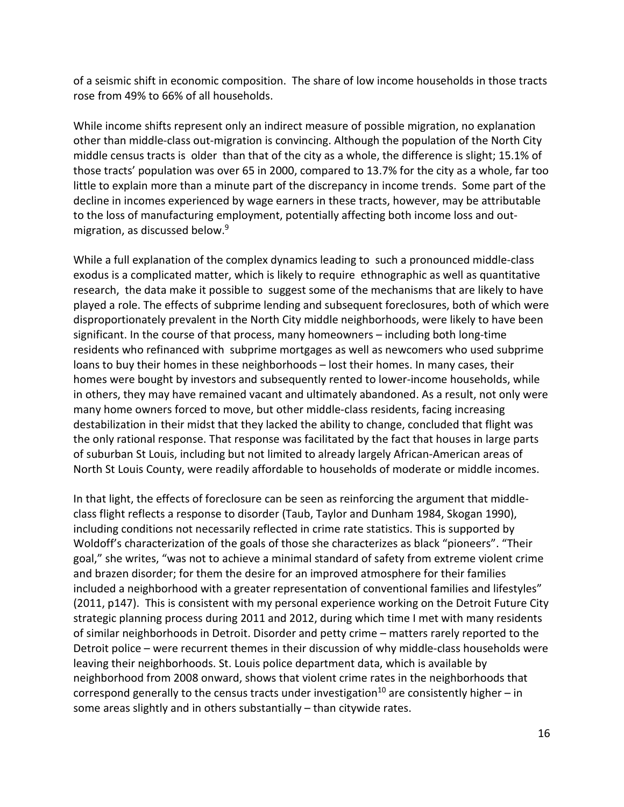of a seismic shift in economic composition. The share of low income households in those tracts rose from 49% to 66% of all households.

While income shifts represent only an indirect measure of possible migration, no explanation other than middle-class out-migration is convincing. Although the population of the North City middle census tracts is older than that of the city as a whole, the difference is slight; 15.1% of those tracts' population was over 65 in 2000, compared to 13.7% for the city as a whole, far too little to explain more than a minute part of the discrepancy in income trends. Some part of the decline in incomes experienced by wage earners in these tracts, however, may be attributable to the loss of manufacturing employment, potentially affecting both income loss and out-migration, as discussed below.<sup>[9](#page-29-8)</sup>

While a full explanation of the complex dynamics leading to such a pronounced middle-class exodus is a complicated matter, which is likely to require ethnographic as well as quantitative research, the data make it possible to suggest some of the mechanisms that are likely to have played a role. The effects of subprime lending and subsequent foreclosures, both of which were disproportionately prevalent in the North City middle neighborhoods, were likely to have been significant. In the course of that process, many homeowners – including both long-time residents who refinanced with subprime mortgages as well as newcomers who used subprime loans to buy their homes in these neighborhoods – lost their homes. In many cases, their homes were bought by investors and subsequently rented to lower-income households, while in others, they may have remained vacant and ultimately abandoned. As a result, not only were many home owners forced to move, but other middle-class residents, facing increasing destabilization in their midst that they lacked the ability to change, concluded that flight was the only rational response. That response was facilitated by the fact that houses in large parts of suburban St Louis, including but not limited to already largely African-American areas of North St Louis County, were readily affordable to households of moderate or middle incomes.

In that light, the effects of foreclosure can be seen as reinforcing the argument that middleclass flight reflects a response to disorder (Taub, Taylor and Dunham 1984, Skogan 1990), including conditions not necessarily reflected in crime rate statistics. This is supported by Woldoff's characterization of the goals of those she characterizes as black "pioneers". "Their goal," she writes, "was not to achieve a minimal standard of safety from extreme violent crime and brazen disorder; for them the desire for an improved atmosphere for their families included a neighborhood with a greater representation of conventional families and lifestyles" (2011, p147). This is consistent with my personal experience working on the Detroit Future City strategic planning process during 2011 and 2012, during which time I met with many residents of similar neighborhoods in Detroit. Disorder and petty crime – matters rarely reported to the Detroit police – were recurrent themes in their discussion of why middle-class households were leaving their neighborhoods. St. Louis police department data, which is available by neighborhood from 2008 onward, shows that violent crime rates in the neighborhoods that correspond generally to the census tracts under investigation<sup>[10](#page-29-9)</sup> are consistently higher – in some areas slightly and in others substantially – than citywide rates.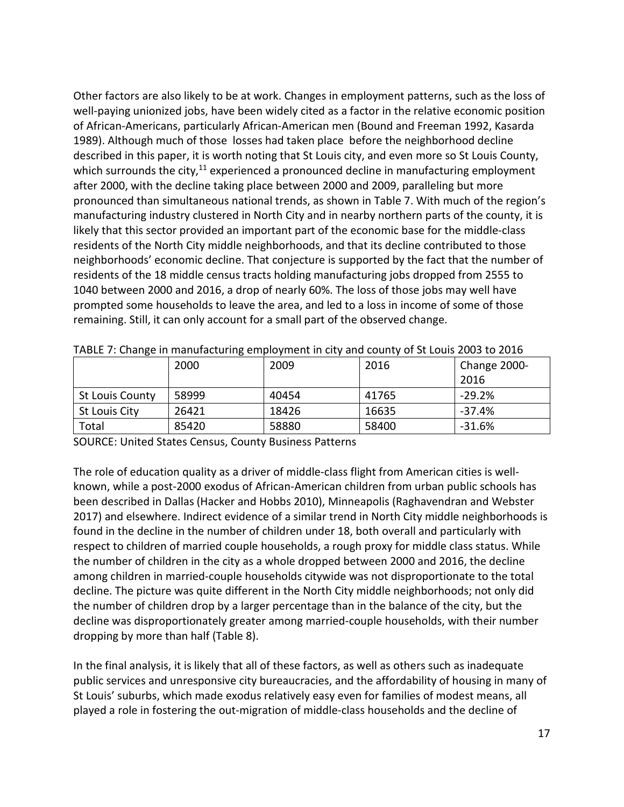Other factors are also likely to be at work. Changes in employment patterns, such as the loss of well-paying unionized jobs, have been widely cited as a factor in the relative economic position of African-Americans, particularly African-American men (Bound and Freeman 1992, Kasarda 1989). Although much of those losses had taken place before the neighborhood decline described in this paper, it is worth noting that St Louis city, and even more so St Louis County, which surrounds the city, $11$  experienced a pronounced decline in manufacturing employment after 2000, with the decline taking place between 2000 and 2009, paralleling but more pronounced than simultaneous national trends, as shown in Table 7. With much of the region's manufacturing industry clustered in North City and in nearby northern parts of the county, it is likely that this sector provided an important part of the economic base for the middle-class residents of the North City middle neighborhoods, and that its decline contributed to those neighborhoods' economic decline. That conjecture is supported by the fact that the number of residents of the 18 middle census tracts holding manufacturing jobs dropped from 2555 to 1040 between 2000 and 2016, a drop of nearly 60%. The loss of those jobs may well have prompted some households to leave the area, and led to a loss in income of some of those remaining. Still, it can only account for a small part of the observed change.

|                        | 2000  | 2009  | 2016  | Change 2000- |
|------------------------|-------|-------|-------|--------------|
|                        |       |       |       | 2016         |
| <b>St Louis County</b> | 58999 | 40454 | 41765 | $-29.2%$     |
| St Louis City          | 26421 | 18426 | 16635 | $-37.4%$     |
| Total                  | 85420 | 58880 | 58400 | $-31.6%$     |

SOURCE: United States Census, County Business Patterns

The role of education quality as a driver of middle-class flight from American cities is wellknown, while a post-2000 exodus of African-American children from urban public schools has been described in Dallas (Hacker and Hobbs 2010), Minneapolis (Raghavendran and Webster 2017) and elsewhere. Indirect evidence of a similar trend in North City middle neighborhoods is found in the decline in the number of children under 18, both overall and particularly with respect to children of married couple households, a rough proxy for middle class status. While the number of children in the city as a whole dropped between 2000 and 2016, the decline among children in married-couple households citywide was not disproportionate to the total decline. The picture was quite different in the North City middle neighborhoods; not only did the number of children drop by a larger percentage than in the balance of the city, but the decline was disproportionately greater among married-couple households, with their number dropping by more than half (Table 8).

In the final analysis, it is likely that all of these factors, as well as others such as inadequate public services and unresponsive city bureaucracies, and the affordability of housing in many of St Louis' suburbs, which made exodus relatively easy even for families of modest means, all played a role in fostering the out-migration of middle-class households and the decline of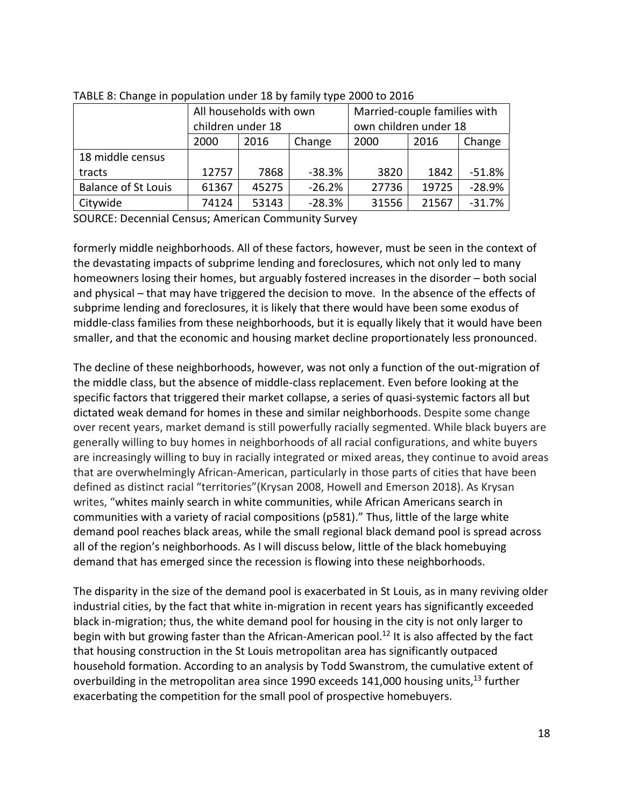|                            |                        | All households with own |          | Married-couple families with |       |          |  |
|----------------------------|------------------------|-------------------------|----------|------------------------------|-------|----------|--|
|                            | children under 18      |                         |          | own children under 18        |       |          |  |
|                            | 2000<br>2016<br>Change |                         |          | 2000                         | 2016  | Change   |  |
| 18 middle census           |                        |                         |          |                              |       |          |  |
| tracts                     | 12757                  | $-38.3%$<br>7868        |          | 3820                         | 1842  | $-51.8%$ |  |
| <b>Balance of St Louis</b> | 61367                  | 45275                   | $-26.2%$ | 27736                        | 19725 | $-28.9%$ |  |
| Citywide                   | 74124                  | 53143                   | $-28.3%$ | 31556                        | 21567 | $-31.7%$ |  |

TABLE 8: Change in population under 18 by family type 2000 to 2016

SOURCE: Decennial Census; American Community Survey

formerly middle neighborhoods. All of these factors, however, must be seen in the context of the devastating impacts of subprime lending and foreclosures, which not only led to many homeowners losing their homes, but arguably fostered increases in the disorder – both social and physical – that may have triggered the decision to move. In the absence of the effects of subprime lending and foreclosures, it is likely that there would have been some exodus of middle-class families from these neighborhoods, but it is equally likely that it would have been smaller, and that the economic and housing market decline proportionately less pronounced.

The decline of these neighborhoods, however, was not only a function of the out-migration of the middle class, but the absence of middle-class replacement. Even before looking at the specific factors that triggered their market collapse, a series of quasi-systemic factors all but dictated weak demand for homes in these and similar neighborhoods. Despite some change over recent years, market demand is still powerfully racially segmented. While black buyers are generally willing to buy homes in neighborhoods of all racial configurations, and white buyers are increasingly willing to buy in racially integrated or mixed areas, they continue to avoid areas that are overwhelmingly African-American, particularly in those parts of cities that have been defined as distinct racial "territories"(Krysan 2008, Howell and Emerson 2018). As Krysan writes, "whites mainly search in white communities, while African Americans search in communities with a variety of racial compositions (p581)." Thus, little of the large white demand pool reaches black areas, while the small regional black demand pool is spread across all of the region's neighborhoods. As I will discuss below, little of the black homebuying demand that has emerged since the recession is flowing into these neighborhoods.

The disparity in the size of the demand pool is exacerbated in St Louis, as in many reviving older industrial cities, by the fact that white in-migration in recent years has significantly exceeded black in-migration; thus, the white demand pool for housing in the city is not only larger to begin with but growing faster than the African-American pool.<sup>[12](#page-29-11)</sup> It is also affected by the fact that housing construction in the St Louis metropolitan area has significantly outpaced household formation. According to an analysis by Todd Swanstrom, the cumulative extent of overbuilding in the metropolitan area since 1990 exceeds 141,000 housing units,<sup>[13](#page-29-12)</sup> further exacerbating the competition for the small pool of prospective homebuyers.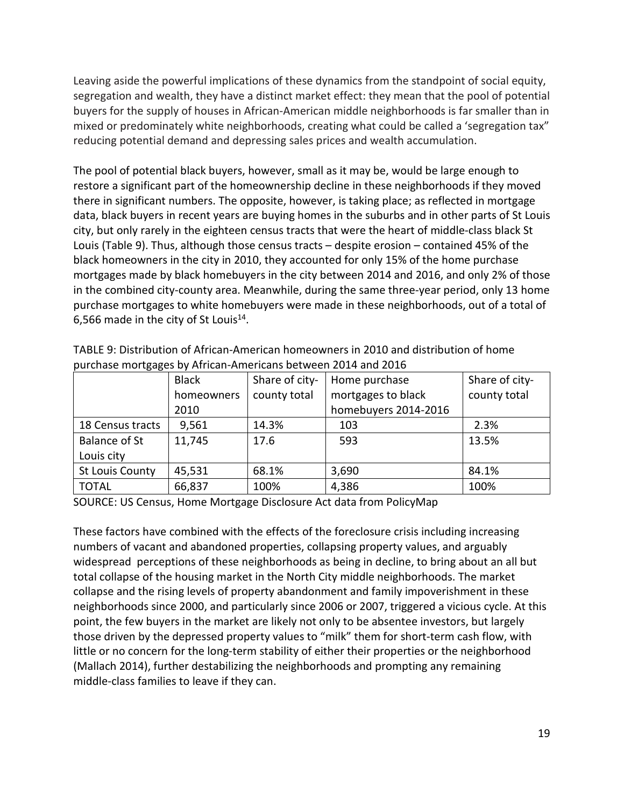Leaving aside the powerful implications of these dynamics from the standpoint of social equity, segregation and wealth, they have a distinct market effect: they mean that the pool of potential buyers for the supply of houses in African-American middle neighborhoods is far smaller than in mixed or predominately white neighborhoods, creating what could be called a 'segregation tax" reducing potential demand and depressing sales prices and wealth accumulation.

The pool of potential black buyers, however, small as it may be, would be large enough to restore a significant part of the homeownership decline in these neighborhoods if they moved there in significant numbers. The opposite, however, is taking place; as reflected in mortgage data, black buyers in recent years are buying homes in the suburbs and in other parts of St Louis city, but only rarely in the eighteen census tracts that were the heart of middle-class black St Louis (Table 9). Thus, although those census tracts – despite erosion – contained 45% of the black homeowners in the city in 2010, they accounted for only 15% of the home purchase mortgages made by black homebuyers in the city between 2014 and 2016, and only 2% of those in the combined city-county area. Meanwhile, during the same three-year period, only 13 home purchase mortgages to white homebuyers were made in these neighborhoods, out of a total of 6,566 made in the city of St Louis $^{14}$  $^{14}$  $^{14}$ .

|                      | <b>Black</b> | Share of city- | Home purchase        | Share of city- |
|----------------------|--------------|----------------|----------------------|----------------|
|                      | homeowners   | county total   | mortgages to black   | county total   |
|                      | 2010         |                | homebuyers 2014-2016 |                |
| 18 Census tracts     | 9,561        | 14.3%          | 103                  | 2.3%           |
| <b>Balance of St</b> | 11,745       | 17.6           | 593                  | 13.5%          |
| Louis city           |              |                |                      |                |
| St Louis County      | 45,531       | 68.1%          | 3,690                | 84.1%          |
| <b>TOTAL</b>         | 66,837       | 100%           | 4,386                | 100%           |

TABLE 9: Distribution of African-American homeowners in 2010 and distribution of home purchase mortgages by African-Americans between 2014 and 2016

SOURCE: US Census, Home Mortgage Disclosure Act data from PolicyMap

These factors have combined with the effects of the foreclosure crisis including increasing numbers of vacant and abandoned properties, collapsing property values, and arguably widespread perceptions of these neighborhoods as being in decline, to bring about an all but total collapse of the housing market in the North City middle neighborhoods. The market collapse and the rising levels of property abandonment and family impoverishment in these neighborhoods since 2000, and particularly since 2006 or 2007, triggered a vicious cycle. At this point, the few buyers in the market are likely not only to be absentee investors, but largely those driven by the depressed property values to "milk" them for short-term cash flow, with little or no concern for the long-term stability of either their properties or the neighborhood (Mallach 2014), further destabilizing the neighborhoods and prompting any remaining middle-class families to leave if they can.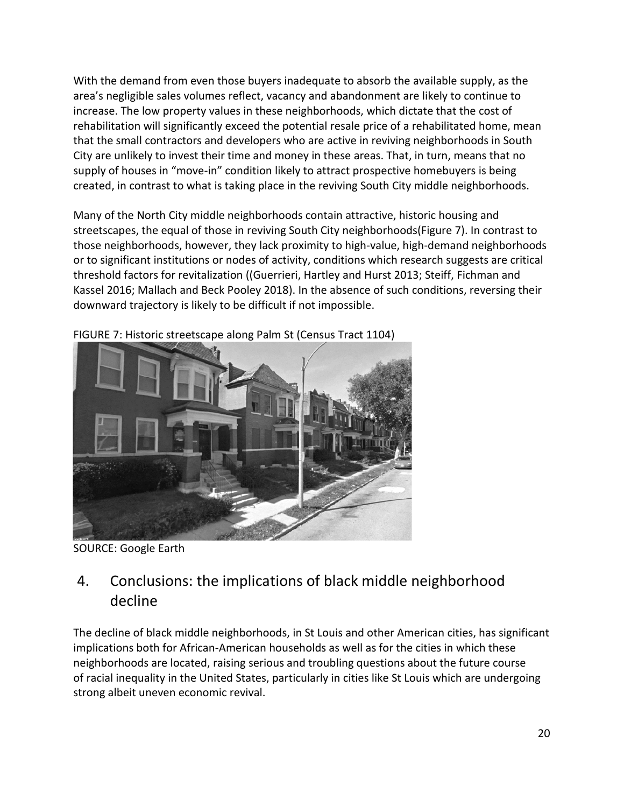With the demand from even those buyers inadequate to absorb the available supply, as the area's negligible sales volumes reflect, vacancy and abandonment are likely to continue to increase. The low property values in these neighborhoods, which dictate that the cost of rehabilitation will significantly exceed the potential resale price of a rehabilitated home, mean that the small contractors and developers who are active in reviving neighborhoods in South City are unlikely to invest their time and money in these areas. That, in turn, means that no supply of houses in "move-in" condition likely to attract prospective homebuyers is being created, in contrast to what is taking place in the reviving South City middle neighborhoods.

Many of the North City middle neighborhoods contain attractive, historic housing and streetscapes, the equal of those in reviving South City neighborhoods(Figure 7). In contrast to those neighborhoods, however, they lack proximity to high-value, high-demand neighborhoods or to significant institutions or nodes of activity, conditions which research suggests are critical threshold factors for revitalization ((Guerrieri, Hartley and Hurst 2013; Steiff, Fichman and Kassel 2016; Mallach and Beck Pooley 2018). In the absence of such conditions, reversing their downward trajectory is likely to be difficult if not impossible.



FIGURE 7: Historic streetscape along Palm St (Census Tract 1104)

SOURCE: Google Earth

# 4. Conclusions: the implications of black middle neighborhood decline

The decline of black middle neighborhoods, in St Louis and other American cities, has significant implications both for African-American households as well as for the cities in which these neighborhoods are located, raising serious and troubling questions about the future course of racial inequality in the United States, particularly in cities like St Louis which are undergoing strong albeit uneven economic revival.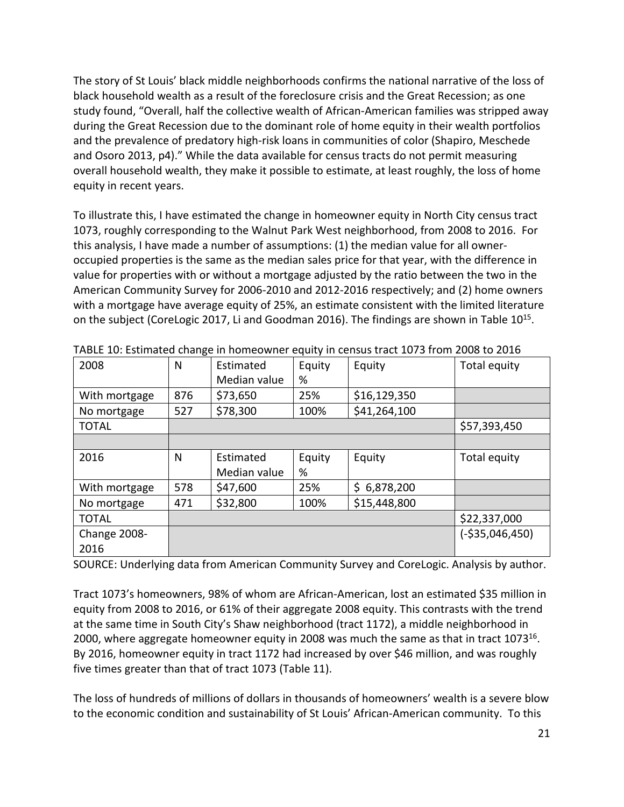The story of St Louis' black middle neighborhoods confirms the national narrative of the loss of black household wealth as a result of the foreclosure crisis and the Great Recession; as one study found, "Overall, half the collective wealth of African-American families was stripped away during the Great Recession due to the dominant role of home equity in their wealth portfolios and the prevalence of predatory high-risk loans in communities of color (Shapiro, Meschede and Osoro 2013, p4)." While the data available for census tracts do not permit measuring overall household wealth, they make it possible to estimate, at least roughly, the loss of home equity in recent years.

To illustrate this, I have estimated the change in homeowner equity in North City census tract 1073, roughly corresponding to the Walnut Park West neighborhood, from 2008 to 2016. For this analysis, I have made a number of assumptions: (1) the median value for all owneroccupied properties is the same as the median sales price for that year, with the difference in value for properties with or without a mortgage adjusted by the ratio between the two in the American Community Survey for 2006-2010 and 2012-2016 respectively; and (2) home owners with a mortgage have average equity of 25%, an estimate consistent with the limited literature onthe subject (CoreLogic 2[0](#page-29-14)17, Li and Goodman 2016)[.](#page-29-14) The findings are shown in Table 10<sup>15</sup>.

| 2008          | N   | Estimated<br>Median value | Equity<br>% | Equity           | Total equity     |
|---------------|-----|---------------------------|-------------|------------------|------------------|
| With mortgage | 876 | \$73,650                  | 25%         | \$16,129,350     |                  |
| No mortgage   | 527 | \$78,300                  | 100%        | \$41,264,100     |                  |
| <b>TOTAL</b>  |     |                           |             |                  | \$57,393,450     |
|               |     |                           |             |                  |                  |
| 2016          | N   | Estimated                 | Equity      | Equity           | Total equity     |
|               |     | Median value              | %           |                  |                  |
| With mortgage | 578 | \$47,600                  | 25%         | 6,878,200<br>\$. |                  |
| No mortgage   | 471 | \$32,800                  | 100%        | \$15,448,800     |                  |
| <b>TOTAL</b>  |     |                           |             |                  | \$22,337,000     |
| Change 2008-  |     |                           |             |                  | $(-$35,046,450)$ |
| 2016          |     |                           |             |                  |                  |

TABLE 10: Estimated change in homeowner equity in census tract 1073 from 2008 to 2016

SOURCE: Underlying data from American Community Survey and CoreLogic. Analysis by author.

Tract 1073's homeowners, 98% of whom are African-American, lost an estimated \$35 million in equity from 2008 to 2016, or 61% of their aggregate 2008 equity. This contrasts with the trend at the same time in South City's Shaw neighborhood (tract 1172), a middle neighborhood in 2000, where aggregate homeowner equity in 2008 was much the same as that in tract 1073<sup>[16](#page-29-15)</sup>. By 2016, homeowner equity in tract 1172 had increased by over \$46 million, and was roughly five times greater than that of tract 1073 (Table 11).

The loss of hundreds of millions of dollars in thousands of homeowners' wealth is a severe blow to the economic condition and sustainability of St Louis' African-American community. To this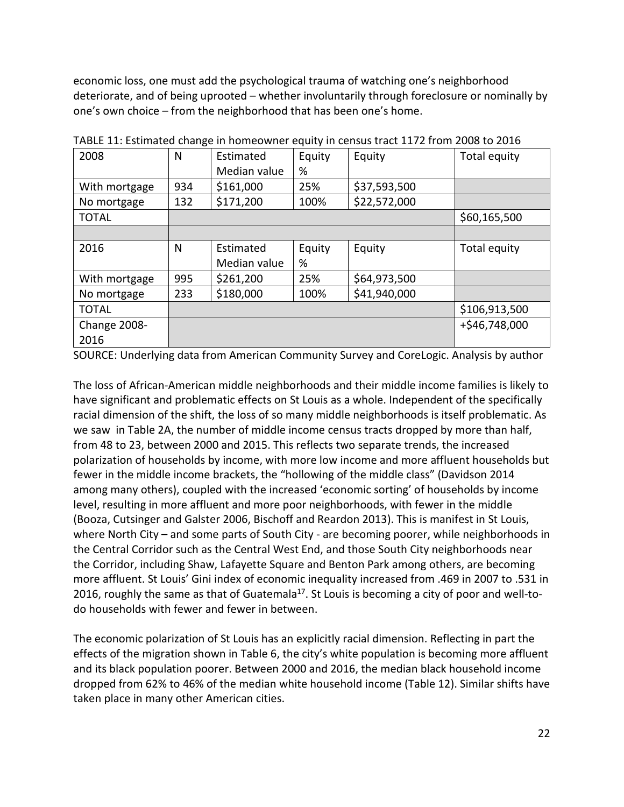economic loss, one must add the psychological trauma of watching one's neighborhood deteriorate, and of being uprooted – whether involuntarily through foreclosure or nominally by one's own choice – from the neighborhood that has been one's home.

| 2008          | N   | Estimated    | Equity | Equity       | Total equity  |
|---------------|-----|--------------|--------|--------------|---------------|
|               |     | Median value | %      |              |               |
| With mortgage | 934 | \$161,000    | 25%    | \$37,593,500 |               |
| No mortgage   | 132 | \$171,200    | 100%   | \$22,572,000 |               |
| <b>TOTAL</b>  |     |              |        |              | \$60,165,500  |
|               |     |              |        |              |               |
| 2016          | N   | Estimated    | Equity | Equity       | Total equity  |
|               |     | Median value | %      |              |               |
| With mortgage | 995 | \$261,200    | 25%    | \$64,973,500 |               |
| No mortgage   | 233 | \$180,000    | 100%   | \$41,940,000 |               |
| <b>TOTAL</b>  |     |              |        |              | \$106,913,500 |
| Change 2008-  |     |              |        |              | +\$46,748,000 |
| 2016          |     |              |        |              |               |

TABLE 11: Estimated change in homeowner equity in census tract 1172 from 2008 to 2016

SOURCE: Underlying data from American Community Survey and CoreLogic. Analysis by author

The loss of African-American middle neighborhoods and their middle income families is likely to have significant and problematic effects on St Louis as a whole. Independent of the specifically racial dimension of the shift, the loss of so many middle neighborhoods is itself problematic. As we saw in Table 2A, the number of middle income census tracts dropped by more than half, from 48 to 23, between 2000 and 2015. This reflects two separate trends, the increased polarization of households by income, with more low income and more affluent households but fewer in the middle income brackets, the "hollowing of the middle class" (Davidson 2014 among many others), coupled with the increased 'economic sorting' of households by income level, resulting in more affluent and more poor neighborhoods, with fewer in the middle (Booza, Cutsinger and Galster 2006, Bischoff and Reardon 2013). This is manifest in St Louis, where North City – and some parts of South City - are becoming poorer, while neighborhoods in the Central Corridor such as the Central West End, and those South City neighborhoods near the Corridor, including Shaw, Lafayette Square and Benton Park among others, are becoming more affluent. St Louis' Gini index of economic inequality increased from .469 in 2007 to .531 in 2016, roughly the same as that of Guatemala<sup>[17](#page-29-16)</sup>. St Louis is becoming a city of poor and well-todo households with fewer and fewer in between.

The economic polarization of St Louis has an explicitly racial dimension. Reflecting in part the effects of the migration shown in Table 6, the city's white population is becoming more affluent and its black population poorer. Between 2000 and 2016, the median black household income dropped from 62% to 46% of the median white household income (Table 12). Similar shifts have taken place in many other American cities.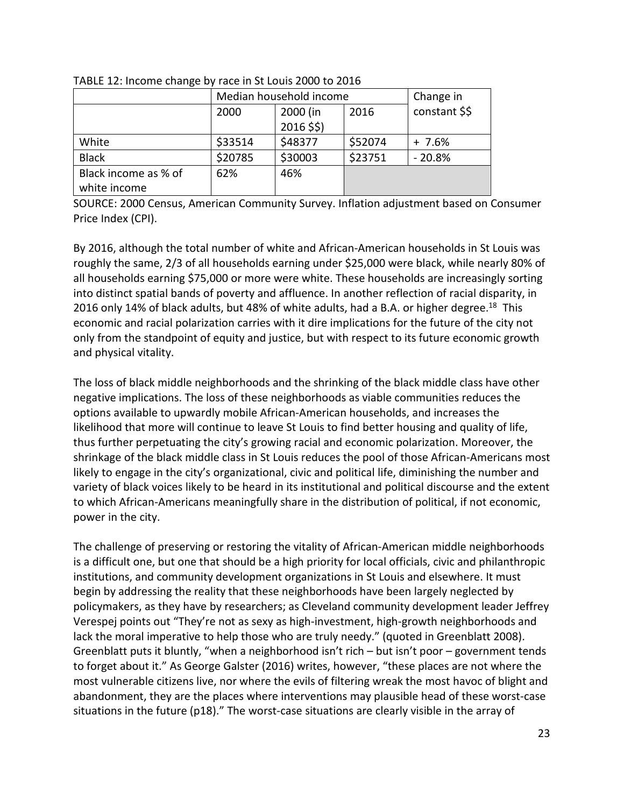|                      | Median household income | Change in    |         |               |  |
|----------------------|-------------------------|--------------|---------|---------------|--|
|                      | 2000                    | 2000 (in     | 2016    | constant \$\$ |  |
|                      |                         | $2016$ \$\$) |         |               |  |
| White                | \$33514                 | \$48377      | \$52074 | $+7.6%$       |  |
| <b>Black</b>         | \$20785                 | \$30003      | \$23751 | $-20.8%$      |  |
| Black income as % of | 62%                     | 46%          |         |               |  |
| white income         |                         |              |         |               |  |

TABLE 12: Income change by race in St Louis 2000 to 2016

SOURCE: 2000 Census, American Community Survey. Inflation adjustment based on Consumer Price Index (CPI).

By 2016, although the total number of white and African-American households in St Louis was roughly the same, 2/3 of all households earning under \$25,000 were black, while nearly 80% of all households earning \$75,000 or more were white. These households are increasingly sorting into distinct spatial bands of poverty and affluence. In another reflection of racial disparity, in 2016 only 14% of black adults, but 48% of white adults, had a B.A. or higher degree.<sup>[18](#page-29-17)</sup> This economic and racial polarization carries with it dire implications for the future of the city not only from the standpoint of equity and justice, but with respect to its future economic growth and physical vitality.

The loss of black middle neighborhoods and the shrinking of the black middle class have other negative implications. The loss of these neighborhoods as viable communities reduces the options available to upwardly mobile African-American households, and increases the likelihood that more will continue to leave St Louis to find better housing and quality of life, thus further perpetuating the city's growing racial and economic polarization. Moreover, the shrinkage of the black middle class in St Louis reduces the pool of those African-Americans most likely to engage in the city's organizational, civic and political life, diminishing the number and variety of black voices likely to be heard in its institutional and political discourse and the extent to which African-Americans meaningfully share in the distribution of political, if not economic, power in the city.

The challenge of preserving or restoring the vitality of African-American middle neighborhoods is a difficult one, but one that should be a high priority for local officials, civic and philanthropic institutions, and community development organizations in St Louis and elsewhere. It must begin by addressing the reality that these neighborhoods have been largely neglected by policymakers, as they have by researchers; as Cleveland community development leader Jeffrey Verespej points out "They're not as sexy as high-investment, high-growth neighborhoods and lack the moral imperative to help those who are truly needy." (quoted in Greenblatt 2008). Greenblatt puts it bluntly, "when a neighborhood isn't rich – but isn't poor – government tends to forget about it." As George Galster (2016) writes, however, "these places are not where the most vulnerable citizens live, nor where the evils of filtering wreak the most havoc of blight and abandonment, they are the places where interventions may plausible head of these worst-case situations in the future (p18)." The worst-case situations are clearly visible in the array of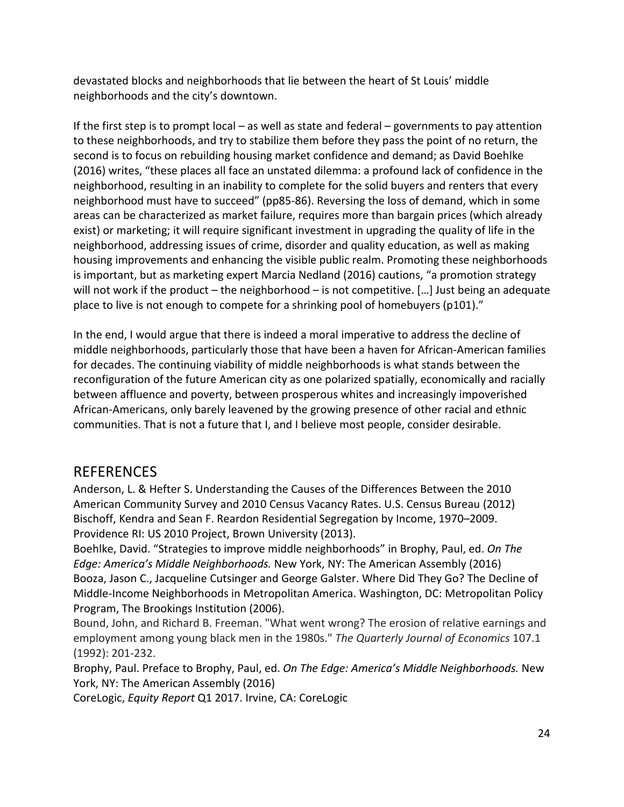devastated blocks and neighborhoods that lie between the heart of St Louis' middle neighborhoods and the city's downtown.

If the first step is to prompt local – as well as state and federal – governments to pay attention to these neighborhoods, and try to stabilize them before they pass the point of no return, the second is to focus on rebuilding housing market confidence and demand; as David Boehlke (2016) writes, "these places all face an unstated dilemma: a profound lack of confidence in the neighborhood, resulting in an inability to complete for the solid buyers and renters that every neighborhood must have to succeed" (pp85-86). Reversing the loss of demand, which in some areas can be characterized as market failure, requires more than bargain prices (which already exist) or marketing; it will require significant investment in upgrading the quality of life in the neighborhood, addressing issues of crime, disorder and quality education, as well as making housing improvements and enhancing the visible public realm. Promoting these neighborhoods is important, but as marketing expert Marcia Nedland (2016) cautions, "a promotion strategy will not work if the product – the neighborhood – is not competitive. [...] Just being an adequate place to live is not enough to compete for a shrinking pool of homebuyers (p101)."

In the end, I would argue that there is indeed a moral imperative to address the decline of middle neighborhoods, particularly those that have been a haven for African-American families for decades. The continuing viability of middle neighborhoods is what stands between the reconfiguration of the future American city as one polarized spatially, economically and racially between affluence and poverty, between prosperous whites and increasingly impoverished African-Americans, only barely leavened by the growing presence of other racial and ethnic communities. That is not a future that I, and I believe most people, consider desirable.

#### REFERENCES

Anderson, L. & Hefter S. Understanding the Causes of the Differences Between the 2010 American Community Survey and 2010 Census Vacancy Rates. U.S. Census Bureau (2012) Bischoff, Kendra and Sean F. Reardon Residential Segregation by Income, 1970–2009. Providence RI: US 2010 Project, Brown University (2013).

Boehlke, David. "Strategies to improve middle neighborhoods" in Brophy, Paul, ed. *On The Edge: America's Middle Neighborhoods.* New York, NY: The American Assembly (2016) Booza, Jason C., Jacqueline Cutsinger and George Galster. Where Did They Go? The Decline of Middle-Income Neighborhoods in Metropolitan America. Washington, DC: Metropolitan Policy Program, The Brookings Institution (2006).

Bound, John, and Richard B. Freeman. "What went wrong? The erosion of relative earnings and employment among young black men in the 1980s." *The Quarterly Journal of Economics* 107.1 (1992): 201-232.

Brophy, Paul. Preface to Brophy, Paul, ed. *On The Edge: America's Middle Neighborhoods.* New York, NY: The American Assembly (2016)

CoreLogic, *Equity Report* Q1 2017. Irvine, CA: CoreLogic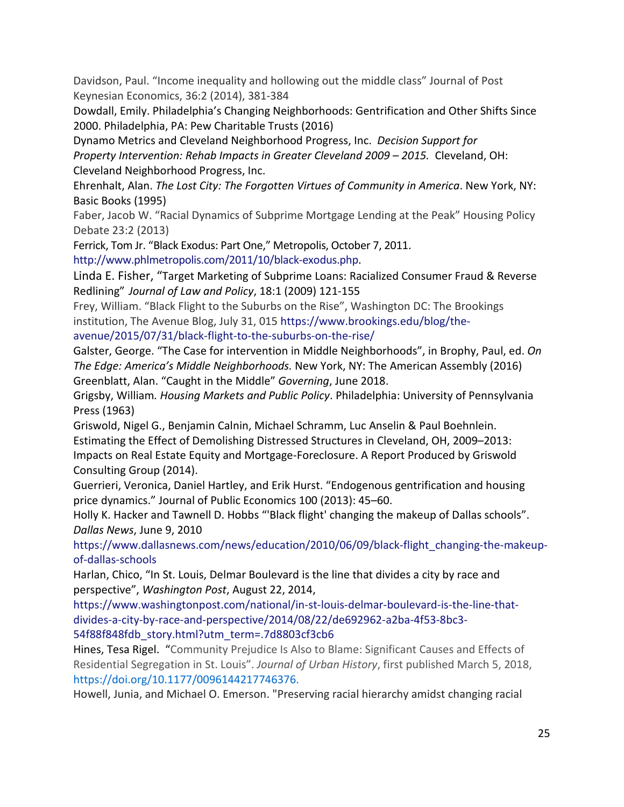Davidson, Paul. "Income inequality and hollowing out the middle class" Journal of Post Keynesian Economics, 36:2 (2014), 381-384

Dowdall, Emily. Philadelphia's Changing Neighborhoods: Gentrification and Other Shifts Since 2000. Philadelphia, PA: Pew Charitable Trusts (2016)

Dynamo Metrics and Cleveland Neighborhood Progress, Inc. *Decision Support for Property Intervention: Rehab Impacts in Greater Cleveland 2009 – 2015.* Cleveland, OH: Cleveland Neighborhood Progress, Inc.

Ehrenhalt, Alan. *The Lost City: The Forgotten Virtues of Community in America*. New York, NY: Basic Books (1995)

Faber, Jacob W. "Racial Dynamics of Subprime Mortgage Lending at the Peak" Housing Policy Debate 23:2 (2013)

Ferrick, Tom Jr. "Black Exodus: Part One," Metropolis, October 7, 2011.

[http://www.phlmetropolis.com/2011/10/black-exodus.php.](http://www.phlmetropolis.com/2011/10/black-exodus.php)

Linda E. Fisher, "Target Marketing of Subprime Loans: Racialized Consumer Fraud & Reverse Redlining" *Journal of Law and Policy*, 18:1 (2009) 121-155

Frey, William. "Black Flight to the Suburbs on the Rise", Washington DC: The Brookings institution, The Avenue Blog, July 31, 015 [https://www.brookings.edu/blog/the-](https://www.brookings.edu/blog/the-avenue/2015/07/31/black-flight-to-the-suburbs-on-the-rise/)

[avenue/2015/07/31/black-flight-to-the-suburbs-on-the-rise/](https://www.brookings.edu/blog/the-avenue/2015/07/31/black-flight-to-the-suburbs-on-the-rise/)

Galster, George. "The Case for intervention in Middle Neighborhoods", in Brophy, Paul, ed. *On The Edge: America's Middle Neighborhoods.* New York, NY: The American Assembly (2016) Greenblatt, Alan. "Caught in the Middle" *Governing*, June 2018.

Grigsby, William*. Housing Markets and Public Policy*. Philadelphia: University of Pennsylvania Press (1963)

Griswold, Nigel G., Benjamin Calnin, Michael Schramm, Luc Anselin & Paul Boehnlein. Estimating the Effect of Demolishing Distressed Structures in Cleveland, OH, 2009–2013: Impacts on Real Estate Equity and Mortgage-Foreclosure. A Report Produced by Griswold Consulting Group (2014).

Guerrieri, Veronica, Daniel Hartley, and Erik Hurst. "Endogenous gentrification and housing price dynamics." Journal of Public Economics 100 (2013): 45–60.

Holly K. Hacker and Tawnell D. Hobbs "'Black flight' changing the makeup of Dallas schools". *Dallas News*, June 9, 2010

[https://www.dallasnews.com/news/education/2010/06/09/black-flight\\_changing-the-makeup](https://www.dallasnews.com/news/education/2010/06/09/black-flight_changing-the-makeup-of-dallas-schools)[of-dallas-schools](https://www.dallasnews.com/news/education/2010/06/09/black-flight_changing-the-makeup-of-dallas-schools)

Harlan, Chico, "In St. Louis, Delmar Boulevard is the line that divides a city by race and perspective", *Washington Post*, August 22, 2014,

[https://www.washingtonpost.com/national/in-st-louis-delmar-boulevard-is-the-line-that](https://www.washingtonpost.com/national/in-st-louis-delmar-boulevard-is-the-line-that-divides-a-city-by-race-and-perspective/2014/08/22/de692962-a2ba-4f53-8bc3-54f88f848fdb_story.html?utm_term=.7d8803cf3cb6)[divides-a-city-by-race-and-perspective/2014/08/22/de692962-a2ba-4f53-8bc3-](https://www.washingtonpost.com/national/in-st-louis-delmar-boulevard-is-the-line-that-divides-a-city-by-race-and-perspective/2014/08/22/de692962-a2ba-4f53-8bc3-54f88f848fdb_story.html?utm_term=.7d8803cf3cb6) [54f88f848fdb\\_story.html?utm\\_term=.7d8803cf3cb6](https://www.washingtonpost.com/national/in-st-louis-delmar-boulevard-is-the-line-that-divides-a-city-by-race-and-perspective/2014/08/22/de692962-a2ba-4f53-8bc3-54f88f848fdb_story.html?utm_term=.7d8803cf3cb6)

Hines, Tesa Rigel. "Community Prejudice Is Also to Blame: Significant Causes and Effects of Residential Segregation in St. Louis". *Journal of Urban History*, first published March 5, 2018, [https://doi.org/10.1177/0096144217746376.](https://doi.org/10.1177%2F0096144217746376)

Howell, Junia, and Michael O. Emerson. "Preserving racial hierarchy amidst changing racial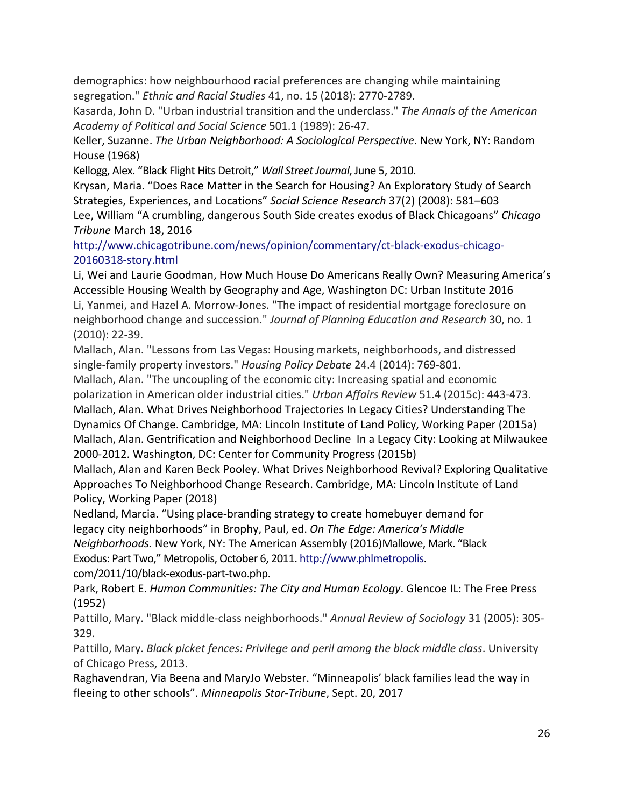demographics: how neighbourhood racial preferences are changing while maintaining segregation." *Ethnic and Racial Studies* 41, no. 15 (2018): 2770-2789.

Kasarda, John D. "Urban industrial transition and the underclass." *The Annals of the American Academy of Political and Social Science* 501.1 (1989): 26-47.

Keller, Suzanne. *The Urban Neighborhood: A Sociological Perspective*. New York, NY: Random House (1968)

Kellogg, Alex. "Black Flight Hits Detroit," *Wall Street Journal*, June 5, 2010.

Krysan, Maria. "Does Race Matter in the Search for Housing? An Exploratory Study of Search Strategies, Experiences, and Locations" *Social Science Research* 37(2) (2008): 581–603 Lee, William "A crumbling, dangerous South Side creates exodus of Black Chicagoans" *Chicago Tribune* March 18, 2016

[http://www.chicagotribune.com/news/opinion/commentary/ct-black-exodus-chicago-](http://www.chicagotribune.com/news/opinion/commentary/ct-black-exodus-chicago-20160318-story.html)[20160318-story.html](http://www.chicagotribune.com/news/opinion/commentary/ct-black-exodus-chicago-20160318-story.html)

Li, Wei and Laurie Goodman, How Much House Do Americans Really Own? Measuring America's Accessible Housing Wealth by Geography and Age, Washington DC: Urban Institute 2016 Li, Yanmei, and Hazel A. Morrow-Jones. "The impact of residential mortgage foreclosure on neighborhood change and succession." *Journal of Planning Education and Research* 30, no. 1 (2010): 22-39.

Mallach, Alan. "Lessons from Las Vegas: Housing markets, neighborhoods, and distressed single-family property investors." *Housing Policy Debate* 24.4 (2014): 769-801.

Mallach, Alan. "The uncoupling of the economic city: Increasing spatial and economic polarization in American older industrial cities." *Urban Affairs Review* 51.4 (2015c): 443-473.

Mallach, Alan. What Drives Neighborhood Trajectories In Legacy Cities? Understanding The Dynamics Of Change. Cambridge, MA: Lincoln Institute of Land Policy, Working Paper (2015a) Mallach, Alan. Gentrification and Neighborhood Decline In a Legacy City: Looking at Milwaukee 2000-2012. Washington, DC: Center for Community Progress (2015b)

Mallach, Alan and Karen Beck Pooley. What Drives Neighborhood Revival? Exploring Qualitative Approaches To Neighborhood Change Research. Cambridge, MA: Lincoln Institute of Land Policy, Working Paper (2018)

Nedland, Marcia. "Using place-branding strategy to create homebuyer demand for legacy city neighborhoods" in Brophy, Paul, ed. *On The Edge: America's Middle Neighborhoods.* New York, NY: The American Assembly (2016)Mallowe, Mark. "Black

Exodus: Part Two," Metropolis, October 6, 2011. [http://www.phlmetropolis.](http://www.phlmetropolis/) com/2011/10/black-exodus-part-two.php.

Park, Robert E. *Human Communities: The City and Human Ecology*. Glencoe IL: The Free Press (1952)

Pattillo, Mary. "Black middle-class neighborhoods." *Annual Review of Sociology* 31 (2005): 305- 329.

Pattillo, Mary. *Black picket fences: Privilege and peril among the black middle class*. University of Chicago Press, 2013.

[Raghavendran, Via Beena and MaryJo Webster.](http://www.startribune.com/minneapolis-black-families-parents-flock-to-other-school-choices-while-home-district-reels/445108753/#1) "Minneapolis' black families lead the way in fleeing to other schools". *Minneapolis Star-Tribune*, Sept. 20, 2017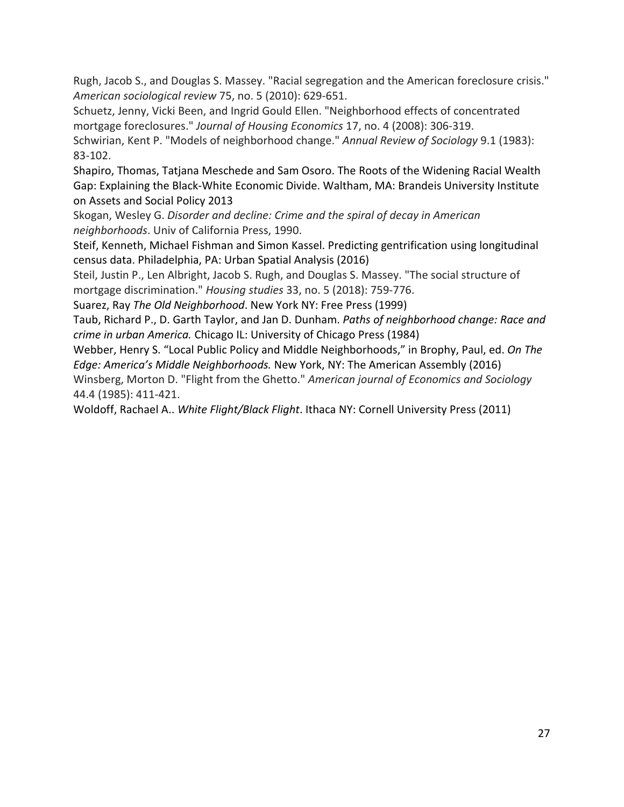Rugh, Jacob S., and Douglas S. Massey. "Racial segregation and the American foreclosure crisis." *American sociological review* 75, no. 5 (2010): 629-651.

Schuetz, Jenny, Vicki Been, and Ingrid Gould Ellen. "Neighborhood effects of concentrated mortgage foreclosures." *Journal of Housing Economics* 17, no. 4 (2008): 306-319.

Schwirian, Kent P. "Models of neighborhood change." *Annual Review of Sociology* 9.1 (1983): 83-102.

Shapiro, Thomas, Tatjana Meschede and Sam Osoro. The Roots of the Widening Racial Wealth Gap: Explaining the Black-White Economic Divide. Waltham, MA: Brandeis University Institute on Assets and Social Policy 2013

Skogan, Wesley G. *Disorder and decline: Crime and the spiral of decay in American neighborhoods*. Univ of California Press, 1990.

Steif, Kenneth, Michael Fishman and Simon Kassel. Predicting gentrification using longitudinal census data. Philadelphia, PA: Urban Spatial Analysis (2016)

Steil, Justin P., Len Albright, Jacob S. Rugh, and Douglas S. Massey. "The social structure of mortgage discrimination." *Housing studies* 33, no. 5 (2018): 759-776.

Suarez, Ray *The Old Neighborhood*. New York NY: Free Press (1999)

Taub, Richard P., D. Garth Taylor, and Jan D. Dunham. *Paths of neighborhood change: Race and crime in urban America.* Chicago IL: University of Chicago Press (1984)

Webber, Henry S. "Local Public Policy and Middle Neighborhoods," in Brophy, Paul, ed. *On The Edge: America's Middle Neighborhoods.* New York, NY: The American Assembly (2016)

Winsberg, Morton D. "Flight from the Ghetto." *American journal of Economics and Sociology* 44.4 (1985): 411-421.

Woldoff, Rachael A.. *White Flight/Black Flight*. Ithaca NY: Cornell University Press (2011)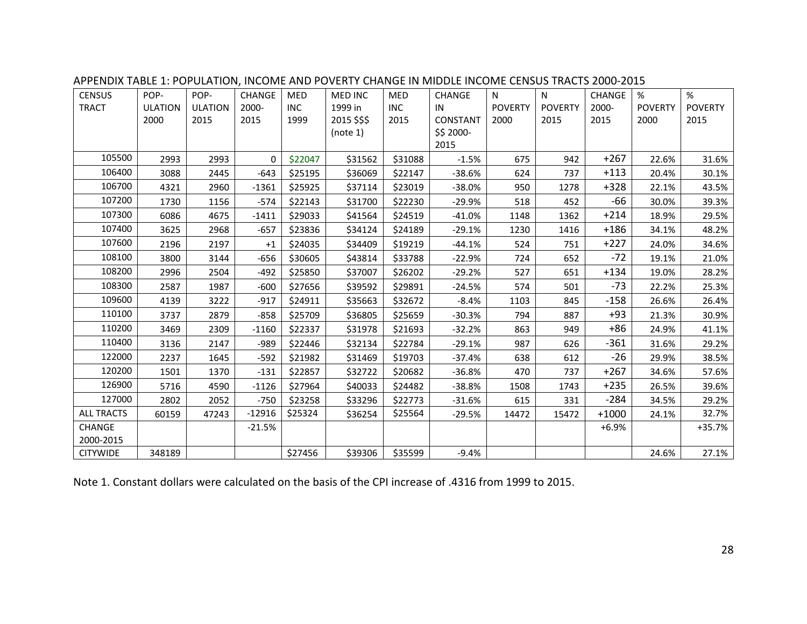| <b>CENSUS</b>     | POP-           | POP-           | CHANGE   | MED        | <b>MED INC</b> | MED        | CHANGE    | N              | N              | CHANGE  | %              | %              |
|-------------------|----------------|----------------|----------|------------|----------------|------------|-----------|----------------|----------------|---------|----------------|----------------|
| <b>TRACT</b>      | <b>ULATION</b> | <b>ULATION</b> | 2000-    | <b>INC</b> | 1999 in        | <b>INC</b> | IN        | <b>POVERTY</b> | <b>POVERTY</b> | 2000-   | <b>POVERTY</b> | <b>POVERTY</b> |
|                   | 2000           | 2015           | 2015     | 1999       | 2015 \$\$\$    | 2015       | CONSTANT  | 2000           | 2015           | 2015    | 2000           | 2015           |
|                   |                |                |          |            | (note 1)       |            | \$\$2000- |                |                |         |                |                |
|                   |                |                |          |            |                |            | 2015      |                |                |         |                |                |
| 105500            | 2993           | 2993           | $\Omega$ | \$22047    | \$31562        | \$31088    | $-1.5%$   | 675            | 942            | $+267$  | 22.6%          | 31.6%          |
| 106400            | 3088           | 2445           | $-643$   | \$25195    | \$36069        | \$22147    | $-38.6%$  | 624            | 737            | $+113$  | 20.4%          | 30.1%          |
| 106700            | 4321           | 2960           | $-1361$  | \$25925    | \$37114        | \$23019    | $-38.0%$  | 950            | 1278           | $+328$  | 22.1%          | 43.5%          |
| 107200            | 1730           | 1156           | $-574$   | \$22143    | \$31700        | \$22230    | $-29.9%$  | 518            | 452            | -66     | 30.0%          | 39.3%          |
| 107300            | 6086           | 4675           | $-1411$  | \$29033    | \$41564        | \$24519    | $-41.0%$  | 1148           | 1362           | $+214$  | 18.9%          | 29.5%          |
| 107400            | 3625           | 2968           | $-657$   | \$23836    | \$34124        | \$24189    | $-29.1%$  | 1230           | 1416           | $+186$  | 34.1%          | 48.2%          |
| 107600            | 2196           | 2197           | $+1$     | \$24035    | \$34409        | \$19219    | $-44.1%$  | 524            | 751            | $+227$  | 24.0%          | 34.6%          |
| 108100            | 3800           | 3144           | $-656$   | \$30605    | \$43814        | \$33788    | $-22.9%$  | 724            | 652            | $-72$   | 19.1%          | 21.0%          |
| 108200            | 2996           | 2504           | $-492$   | \$25850    | \$37007        | \$26202    | $-29.2%$  | 527            | 651            | $+134$  | 19.0%          | 28.2%          |
| 108300            | 2587           | 1987           | $-600$   | \$27656    | \$39592        | \$29891    | $-24.5%$  | 574            | 501            | $-73$   | 22.2%          | 25.3%          |
| 109600            | 4139           | 3222           | $-917$   | \$24911    | \$35663        | \$32672    | $-8.4%$   | 1103           | 845            | $-158$  | 26.6%          | 26.4%          |
| 110100            | 3737           | 2879           | $-858$   | \$25709    | \$36805        | \$25659    | $-30.3%$  | 794            | 887            | $+93$   | 21.3%          | 30.9%          |
| 110200            | 3469           | 2309           | $-1160$  | \$22337    | \$31978        | \$21693    | $-32.2%$  | 863            | 949            | $+86$   | 24.9%          | 41.1%          |
| 110400            | 3136           | 2147           | $-989$   | \$22446    | \$32134        | \$22784    | $-29.1%$  | 987            | 626            | $-361$  | 31.6%          | 29.2%          |
| 122000            | 2237           | 1645           | $-592$   | \$21982    | \$31469        | \$19703    | $-37.4%$  | 638            | 612            | $-26$   | 29.9%          | 38.5%          |
| 120200            | 1501           | 1370           | $-131$   | \$22857    | \$32722        | \$20682    | $-36.8%$  | 470            | 737            | $+267$  | 34.6%          | 57.6%          |
| 126900            | 5716           | 4590           | $-1126$  | \$27964    | \$40033        | \$24482    | $-38.8%$  | 1508           | 1743           | $+235$  | 26.5%          | 39.6%          |
| 127000            | 2802           | 2052           | $-750$   | \$23258    | \$33296        | \$22773    | $-31.6%$  | 615            | 331            | $-284$  | 34.5%          | 29.2%          |
| <b>ALL TRACTS</b> | 60159          | 47243          | $-12916$ | \$25324    | \$36254        | \$25564    | $-29.5%$  | 14472          | 15472          | $+1000$ | 24.1%          | 32.7%          |
| CHANGE            |                |                | $-21.5%$ |            |                |            |           |                |                | $+6.9%$ |                | $+35.7%$       |
| 2000-2015         |                |                |          |            |                |            |           |                |                |         |                |                |
| <b>CITYWIDE</b>   | 348189         |                |          | \$27456    | \$39306        | \$35599    | $-9.4%$   |                |                |         | 24.6%          | 27.1%          |

APPENDIX TABLE 1: POPULATION, INCOME AND POVERTY CHANGE IN MIDDLE INCOME CENSUS TRACTS 2000-2015

Note 1. Constant dollars were calculated on the basis of the CPI increase of .4316 from 1999 to 2015.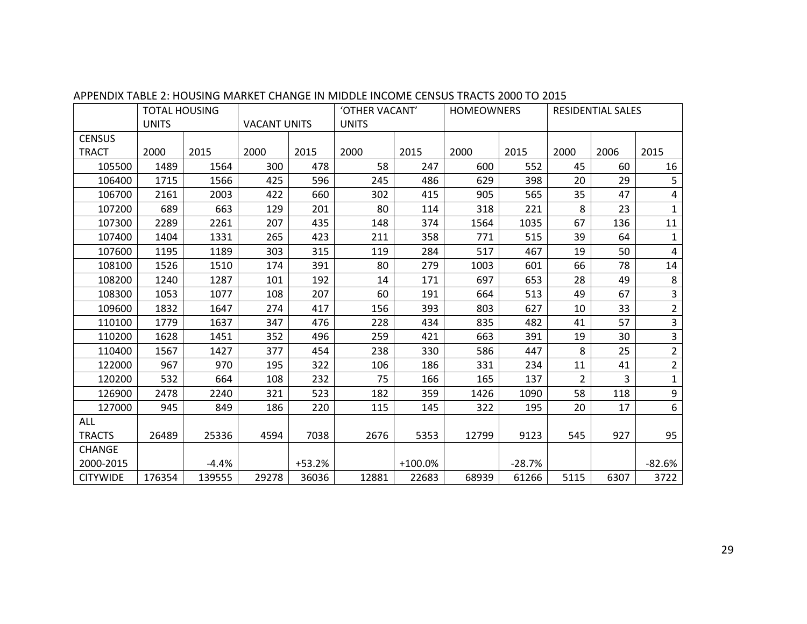|                 | <b>TOTAL HOUSING</b> |         |                     |          | 'OTHER VACANT' |           | <b>HOMEOWNERS</b> |          | <b>RESIDENTIAL SALES</b> |      |                  |
|-----------------|----------------------|---------|---------------------|----------|----------------|-----------|-------------------|----------|--------------------------|------|------------------|
|                 | <b>UNITS</b>         |         | <b>VACANT UNITS</b> |          | <b>UNITS</b>   |           |                   |          |                          |      |                  |
| <b>CENSUS</b>   |                      |         |                     |          |                |           |                   |          |                          |      |                  |
| <b>TRACT</b>    | 2000                 | 2015    | 2000                | 2015     | 2000           | 2015      | 2000              | 2015     | 2000                     | 2006 | 2015             |
| 105500          | 1489                 | 1564    | 300                 | 478      | 58             | 247       | 600               | 552      | 45                       | 60   | 16               |
| 106400          | 1715                 | 1566    | 425                 | 596      | 245            | 486       | 629               | 398      | 20                       | 29   | 5                |
| 106700          | 2161                 | 2003    | 422                 | 660      | 302            | 415       | 905               | 565      | 35                       | 47   | 4                |
| 107200          | 689                  | 663     | 129                 | 201      | 80             | 114       | 318               | 221      | 8                        | 23   | $\mathbf{1}$     |
| 107300          | 2289                 | 2261    | 207                 | 435      | 148            | 374       | 1564              | 1035     | 67                       | 136  | 11               |
| 107400          | 1404                 | 1331    | 265                 | 423      | 211            | 358       | 771               | 515      | 39                       | 64   | $\mathbf{1}$     |
| 107600          | 1195                 | 1189    | 303                 | 315      | 119            | 284       | 517               | 467      | 19                       | 50   | $\overline{4}$   |
| 108100          | 1526                 | 1510    | 174                 | 391      | 80             | 279       | 1003              | 601      | 66                       | 78   | 14               |
| 108200          | 1240                 | 1287    | 101                 | 192      | 14             | 171       | 697               | 653      | 28                       | 49   | $\,8\,$          |
| 108300          | 1053                 | 1077    | 108                 | 207      | 60             | 191       | 664               | 513      | 49                       | 67   | 3                |
| 109600          | 1832                 | 1647    | 274                 | 417      | 156            | 393       | 803               | 627      | 10                       | 33   | $\overline{2}$   |
| 110100          | 1779                 | 1637    | 347                 | 476      | 228            | 434       | 835               | 482      | 41                       | 57   | 3                |
| 110200          | 1628                 | 1451    | 352                 | 496      | 259            | 421       | 663               | 391      | 19                       | 30   | $\mathsf{3}$     |
| 110400          | 1567                 | 1427    | 377                 | 454      | 238            | 330       | 586               | 447      | 8                        | 25   | $\overline{2}$   |
| 122000          | 967                  | 970     | 195                 | 322      | 106            | 186       | 331               | 234      | 11                       | 41   | $\overline{2}$   |
| 120200          | 532                  | 664     | 108                 | 232      | 75             | 166       | 165               | 137      | $\overline{2}$           | 3    | $\mathbf 1$      |
| 126900          | 2478                 | 2240    | 321                 | 523      | 182            | 359       | 1426              | 1090     | 58                       | 118  | $\boldsymbol{9}$ |
| 127000          | 945                  | 849     | 186                 | 220      | 115            | 145       | 322               | 195      | 20                       | 17   | 6                |
| ALL             |                      |         |                     |          |                |           |                   |          |                          |      |                  |
| <b>TRACTS</b>   | 26489                | 25336   | 4594                | 7038     | 2676           | 5353      | 12799             | 9123     | 545                      | 927  | 95               |
| <b>CHANGE</b>   |                      |         |                     |          |                |           |                   |          |                          |      |                  |
| 2000-2015       |                      | $-4.4%$ |                     | $+53.2%$ |                | $+100.0%$ |                   | $-28.7%$ |                          |      | $-82.6%$         |
| <b>CITYWIDE</b> | 176354               | 139555  | 29278               | 36036    | 12881          | 22683     | 68939             | 61266    | 5115                     | 6307 | 3722             |

#### APPENDIX TABLE 2: HOUSING MARKET CHANGE IN MIDDLE INCOME CENSUS TRACTS 2000 TO 2015